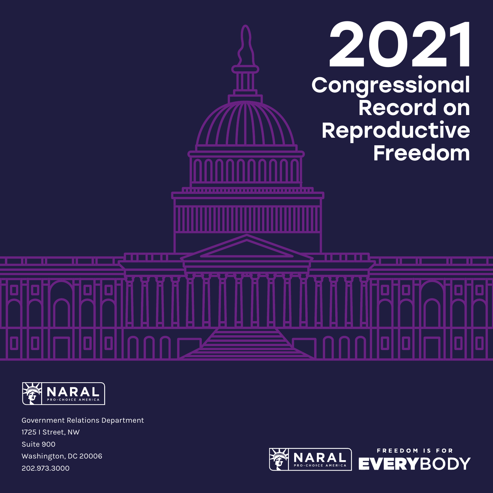



Government Relations Department 1725 I Street, NW Suite 900 Washington, DC 20006 202.973.3000

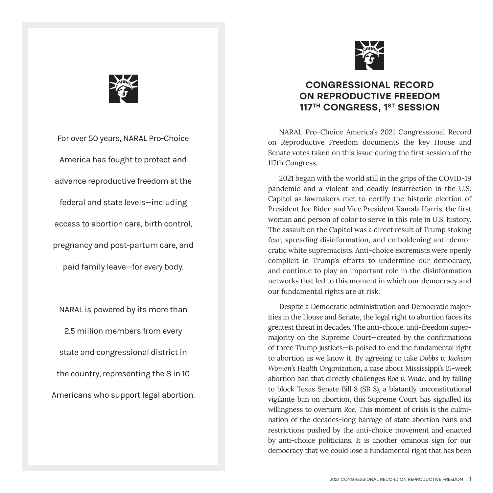

For over 50 years, NARAL Pro-Choice America has fought to protect and advance reproductive freedom at the federal and state levels—including access to abortion care, birth control, pregnancy and post-partum care, and paid family leave—for *every* body.

NARAL is powered by its more than 2.5 million members from every state and congressional district in the country, representing the 8 in 10 Americans who support legal abortion.



## CONGRESSIONAL RECORD ON REPRODUCTIVE FREEDOM 117<sup>TH</sup> CONGRESS, 1<sup>ST</sup> SESSION

NARAL Pro-Choice America's 2021 Congressional Record on Reproductive Freedom documents the key House and Senate votes taken on this issue during the first session of the 117th Congress.

2021 began with the world still in the grips of the COVID-19 pandemic and a violent and deadly insurrection in the U.S. Capitol as lawmakers met to certify the historic election of President Joe Biden and Vice President Kamala Harris, the first woman and person of color to serve in this role in U.S. history. The assault on the Capitol was a direct result of Trump stoking fear, spreading disinformation, and emboldening anti-democratic white supremacists. Anti-choice extremists were openly complicit in Trump's efforts to undermine our democracy, and continue to play an important role in the disinformation networks that led to this moment in which our democracy and our fundamental rights are at risk.

Despite a Democratic administration and Democratic majorities in the House and Senate, the legal right to abortion faces its greatest threat in decades. The anti-choice, anti-freedom supermajority on the Supreme Court—created by the confirmations of three Trump justices—is poised to end the fundamental right to abortion as we know it. By agreeing to take *Dobbs v. Jackson Women's Health Organization*, a case about Mississippi's 15-week abortion ban that directly challenges *Roe v. Wade*, and by failing to block Texas Senate Bill 8 (SB 8), a blatantly unconstitutional vigilante ban on abortion, this Supreme Court has signalled its willingness to overturn *Roe*. This moment of crisis is the culmination of the decades-long barrage of state abortion bans and restrictions pushed by the anti-choice movement and enacted by anti-choice politicians. It is another ominous sign for our democracy that we could lose a fundamental right that has been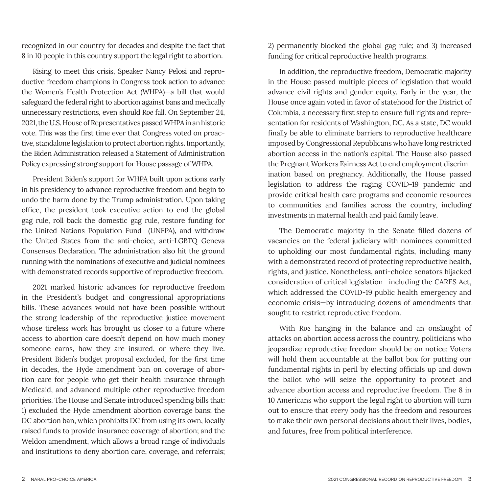recognized in our country for decades and despite the fact that 8 in 10 people in this country support the legal right to abortion.

Rising to meet this crisis, Speaker Nancy Pelosi and reproductive freedom champions in Congress took action to advance the Women's Health Protection Act (WHPA)—a bill that would safeguard the federal right to abortion against bans and medically unnecessary restrictions, even should *Roe* fall. On September 24, 2021, the U.S. House of Representatives passed WHPA in an historic vote. This was the first time ever that Congress voted on proactive, standalone legislation to protect abortion rights. Importantly, the Biden Administration released a Statement of Administration Policy expressing strong support for House passage of WHPA.

President Biden's support for WHPA built upon actions early in his presidency to advance reproductive freedom and begin to undo the harm done by the Trump administration. Upon taking office, the president took executive action to end the global gag rule, roll back the domestic gag rule, restore funding for the United Nations Population Fund (UNFPA), and withdraw the United States from the anti-choice, anti-LGBTQ Geneva Consensus Declaration. The administration also hit the ground running with the nominations of executive and judicial nominees with demonstrated records supportive of reproductive freedom.

2021 marked historic advances for reproductive freedom in the President's budget and congressional appropriations bills. These advances would not have been possible without the strong leadership of the reproductive justice movement whose tireless work has brought us closer to a future where access to abortion care doesn't depend on how much money someone earns, how they are insured, or where they live. President Biden's budget proposal excluded, for the first time in decades, the Hyde amendment ban on coverage of abortion care for people who get their health insurance through Medicaid, and advanced multiple other reproductive freedom priorities. The House and Senate introduced spending bills that: 1) excluded the Hyde amendment abortion coverage bans; the DC abortion ban, which prohibits DC from using its own, locally raised funds to provide insurance coverage of abortion; and the Weldon amendment, which allows a broad range of individuals and institutions to deny abortion care, coverage, and referrals;

2) permanently blocked the global gag rule; and 3) increased funding for critical reproductive health programs.

In addition, the reproductive freedom, Democratic majority in the House passed multiple pieces of legislation that would advance civil rights and gender equity. Early in the year, the House once again voted in favor of statehood for the District of Columbia, a necessary first step to ensure full rights and representation for residents of Washington, DC. As a state, DC would finally be able to eliminate barriers to reproductive healthcare imposed by Congressional Republicans who have long restricted abortion access in the nation's capital. The House also passed the Pregnant Workers Fairness Act to end employment discrimination based on pregnancy. Additionally, the House passed legislation to address the raging COVID-19 pandemic and provide critical health care programs and economic resources to communities and families across the country, including investments in maternal health and paid family leave.

The Democratic majority in the Senate filled dozens of vacancies on the federal judiciary with nominees committed to upholding our most fundamental rights, including many with a demonstrated record of protecting reproductive health, rights, and justice. Nonetheless, anti-choice senators hijacked consideration of critical legislation—including the CARES Act, which addressed the COVID-19 public health emergency and economic crisis—by introducing dozens of amendments that sought to restrict reproductive freedom.

With *Roe* hanging in the balance and an onslaught of attacks on abortion access across the country, politicians who jeopardize reproductive freedom should be on notice: Voters will hold them accountable at the ballot box for putting our fundamental rights in peril by electing officials up and down the ballot who will seize the opportunity to protect and advance abortion access and reproductive freedom. The 8 in 10 Americans who support the legal right to abortion will turn out to ensure that *every* body has the freedom and resources to make their own personal decisions about their lives, bodies, and futures, free from political interference.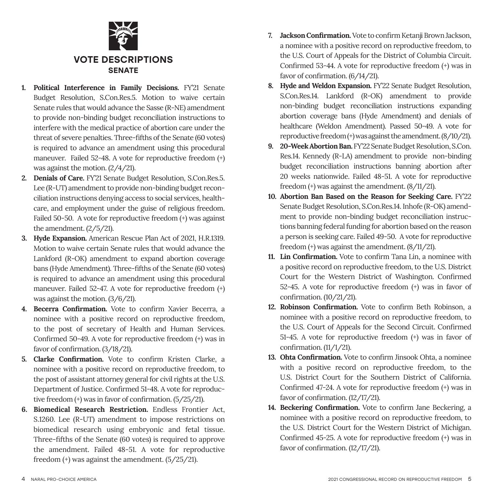

- **1. Political Interference in Family Decisions.** FY'21 Senate Budget Resolution, S.Con.Res.5. Motion to waive certain Senate rules that would advance the Sasse (R-NE) amendment to provide non-binding budget reconciliation instructions to interfere with the medical practice of abortion care under the threat of severe penalties. Three-fifths of the Senate (60 votes) is required to advance an amendment using this procedural maneuver. Failed 52-48. A vote for reproductive freedom (+) was against the motion. (2/4/21).
- **2. Denials of Care.** FY'21 Senate Budget Resolution, S.Con.Res.5. Lee (R-UT) amendment to provide non-binding budget reconciliation instructions denying access to social services, healthcare, and employment under the guise of religious freedom. Failed 50-50. A vote for reproductive freedom (+) was against the amendment. (2/5/21).
- **3. Hyde Expansion.** American Rescue Plan Act of 2021, H.R.1319. Motion to waive certain Senate rules that would advance the Lankford (R-OK) amendment to expand abortion coverage bans (Hyde Amendment). Three-fifths of the Senate (60 votes) is required to advance an amendment using this procedural maneuver. Failed 52-47. A vote for reproductive freedom (+) was against the motion. (3/6/21).
- **4. Becerra Confirmation.** Vote to confirm Xavier Becerra, a nominee with a positive record on reproductive freedom, to the post of secretary of Health and Human Services. Confirmed 50-49. A vote for reproductive freedom (+) was in favor of confirmation. (3/18/21).
- **5. Clarke Confirmation.** Vote to confirm Kristen Clarke, a nominee with a positive record on reproductive freedom, to the post of assistant attorney general for civil rights at the U.S. Department of Justice. Confirmed 51-48. A vote for reproductive freedom (+) was in favor of confirmation. (5/25/21).
- **6. Biomedical Research Restriction.** Endless Frontier Act, S.1260. Lee (R-UT) amendment to impose restrictions on biomedical research using embryonic and fetal tissue. Three-fifths of the Senate (60 votes) is required to approve the amendment. Failed 48-51. A vote for reproductive freedom (+) was against the amendment. (5/25/21).
- **7. JacksonConfirmation.** Vote to confirm Ketanji Brown Jackson, a nominee with a positive record on reproductive freedom, to the U.S. Court of Appeals for the District of Columbia Circuit. Confirmed 53-44. A vote for reproductive freedom (+) was in favor of confirmation. (6/14/21).
- **8. Hyde and Weldon Expansion.** FY'22 Senate Budget Resolution, S.Con.Res.14. Lankford (R-OK) amendment to provide non-binding budget reconciliation instructions expanding abortion coverage bans (Hyde Amendment) and denials of healthcare (Weldon Amendment). Passed 50-49. A vote for reproductive freedom (+) was against the amendment. (8/10/21).
- **9. 20-Week Abortion Ban.** FY'22 Senate Budget Resolution, S.Con. Res.14. Kennedy (R-LA) amendment to provide non-binding budget reconciliation instructions banning abortion after 20 weeks nationwide. Failed 48-51. A vote for reproductive freedom (+) was against the amendment. (8/11/21).
- **10. Abortion Ban Based on the Reason for Seeking Care.** FY'22 Senate Budget Resolution, S.Con.Res.14. Inhofe (R-OK) amendment to provide non-binding budget reconciliation instructions banning federal funding for abortion based on the reason a person is seeking care. Failed 49-50. A vote for reproductive freedom (+) was against the amendment. (8/11/21).
- **11. Lin Confirmation.** Vote to confirm Tana Lin, a nominee with a positive record on reproductive freedom, to the U.S. District Court for the Western District of Washington. Confirmed 52-45. A vote for reproductive freedom (+) was in favor of confirmation. (10/21/21).
- 12. Robinson Confirmation. Vote to confirm Beth Robinson, a nominee with a positive record on reproductive freedom, to the U.S. Court of Appeals for the Second Circuit. Confirmed 51-45. A vote for reproductive freedom (+) was in favor of confirmation. (11/1/21).
- **13. Ohta Confirmation.** Vote to confirm Jinsook Ohta, a nominee with a positive record on reproductive freedom, to the U.S. District Court for the Southern District of California. Confirmed 47-24. A vote for reproductive freedom (+) was in favor of confirmation. (12/17/21).
- 14. Beckering Confirmation. Vote to confirm Jane Beckering, a nominee with a positive record on reproductive freedom, to the U.S. District Court for the Western District of Michigan. Confirmed 45-25. A vote for reproductive freedom (+) was in favor of confirmation. (12/17/21).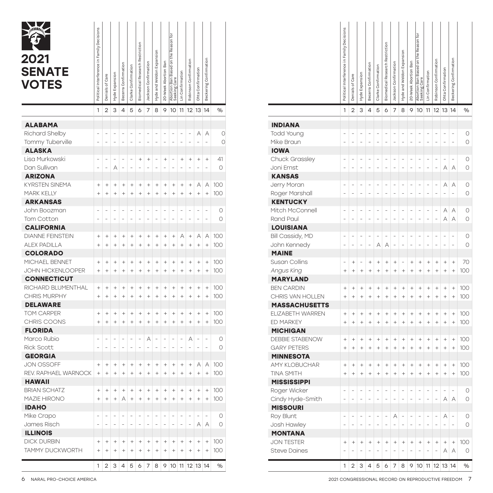| <b>Andrew</b><br>2021<br><b>SENATE</b><br><b>VOTES</b> | Political Interference in Family Decisions | Denials of Care          | Hyde Expansion  | Becerra Confirmation     | Clarke Confirmation              | Biomedical Research Restriction | Jackson Confirmation             | Hyde and Weldon Expansion        | on the Reason for<br>20-Week Abortion Ban<br>Abortion Ban Based<br>Seeking Care | Lin Confirmation                                                     | Robinson Confirmation                    | Ohta Confirmation                | Beckering Confirmation   |         |                        | Political Interference in Family Decisions | Denials of Care | Hyde Expansion           | Becerra Confirmation             | Clarke Confirmation              | Restriction<br>Biomedical Research | Jackson Confirmation     | Hyde and Weldon Expansion | 20-Week Abortion Ban     | the Reason for<br>$\epsilon$<br>Based<br>Ban<br>Abortion | Lin Confirmation         | Robinson Confirmation    | Ohta Confirmation                | Beckering Confirmation           |                                                     |
|--------------------------------------------------------|--------------------------------------------|--------------------------|-----------------|--------------------------|----------------------------------|---------------------------------|----------------------------------|----------------------------------|---------------------------------------------------------------------------------|----------------------------------------------------------------------|------------------------------------------|----------------------------------|--------------------------|---------|------------------------|--------------------------------------------|-----------------|--------------------------|----------------------------------|----------------------------------|------------------------------------|--------------------------|---------------------------|--------------------------|----------------------------------------------------------|--------------------------|--------------------------|----------------------------------|----------------------------------|-----------------------------------------------------|
|                                                        |                                            | $1 \mid 2$               | $\mathbf{3}$    |                          | $4 \ 5 \ 6$                      |                                 | 78                               |                                  |                                                                                 | 9 10 11 12 13 14                                                     |                                          |                                  |                          | $\%$    |                        |                                            |                 | $1 \ 2 \ 3 \ 4$          |                                  |                                  |                                    | 5 6 7                    |                           |                          | 8 9 10 11 12 13 14                                       |                          |                          |                                  |                                  | %                                                   |
| <b>ALABAMA</b>                                         |                                            |                          |                 |                          |                                  |                                 |                                  |                                  |                                                                                 |                                                                      |                                          |                                  |                          |         | <b>INDIANA</b>         |                                            |                 |                          |                                  |                                  |                                    |                          |                           |                          |                                                          |                          |                          |                                  |                                  |                                                     |
| Richard Shelby                                         |                                            |                          |                 |                          |                                  | $\overline{a}$                  | $\overline{a}$                   | $\frac{1}{2}$                    | $\overline{\phantom{a}}$<br>$\overline{\phantom{a}}$                            | $\overline{\phantom{a}}$                                             | $\overline{a}$                           |                                  | A A                      | 0       | Todd Young             |                                            |                 |                          |                                  |                                  | $\overline{a}$                     |                          | ÷,                        |                          | ÷,                                                       | ÷,                       | ÷,                       | $\sim$                           | $\overline{\phantom{a}}$         | $\circ$                                             |
| Tommy Tuberville                                       |                                            |                          |                 |                          | $\overline{\phantom{a}}$         | $\overline{\phantom{a}}$        |                                  | $\overline{\phantom{a}}$         | $\overline{\phantom{a}}$                                                        | $\overline{a}$<br>$\equiv$                                           |                                          | $\overline{\phantom{a}}$         |                          |         | Mike Braun             |                                            |                 |                          |                                  |                                  | $\overline{\phantom{a}}$           |                          | $\overline{\phantom{a}}$  | $\overline{\phantom{a}}$ | $\overline{\phantom{a}}$                                 | $\overline{a}$           | $\overline{\phantom{0}}$ | $\overline{\phantom{a}}$         |                                  | $\circ$                                             |
| <b>ALASKA</b>                                          |                                            |                          |                 |                          |                                  |                                 |                                  |                                  |                                                                                 |                                                                      |                                          |                                  |                          |         | <b>IOWA</b>            |                                            |                 |                          |                                  |                                  |                                    |                          |                           |                          |                                                          |                          |                          |                                  |                                  |                                                     |
| Lisa Murkowski                                         |                                            | $\sim$                   |                 | $\overline{a}$           | $\sim$                           | $^{+}$                          | $^{+}$                           | $\overline{\phantom{a}}$         | $\overline{\phantom{a}}$                                                        |                                                                      | $^{+}$                                   |                                  |                          | 41      | Chuck Grassley         |                                            |                 |                          |                                  |                                  | $\overline{a}$                     | $\sim$                   | $\sim$                    | $\overline{\phantom{a}}$ | $\overline{\phantom{a}}$                                 | ÷,                       | ÷,                       | $\sim$                           | $\overline{\phantom{a}}$         | $\circ$                                             |
| Dan Sullivan                                           |                                            |                          | A               |                          |                                  |                                 |                                  | ÷,                               | $\! + \!\!\!\!$<br>$\frac{1}{2}$                                                | $\! + \!\!\!\!$                                                      |                                          | $\begin{array}{c} + \end{array}$ | $^{+}$                   | $\circ$ |                        |                                            |                 |                          |                                  |                                  |                                    |                          | $\frac{1}{2}$             |                          |                                                          |                          |                          |                                  |                                  |                                                     |
|                                                        |                                            |                          |                 |                          | $\overline{\phantom{a}}$         |                                 |                                  |                                  |                                                                                 |                                                                      |                                          |                                  |                          |         | Joni Ernst             |                                            |                 |                          |                                  |                                  |                                    |                          |                           | $\overline{\phantom{a}}$ | $\overline{\phantom{a}}$                                 | $\overline{\phantom{a}}$ | $\overline{\phantom{a}}$ | $A \mid A$                       |                                  | $\circ$                                             |
| <b>ARIZONA</b>                                         |                                            |                          |                 |                          |                                  |                                 |                                  |                                  |                                                                                 |                                                                      |                                          |                                  |                          |         | <b>KANSAS</b>          |                                            |                 |                          |                                  |                                  |                                    |                          |                           |                          |                                                          |                          |                          |                                  |                                  |                                                     |
| <b>KYRSTEN SINEMA</b>                                  | $^{+}$                                     | $^{+}$                   | $^{+}$          | $^{+}$                   | $\! + \!\!\!\!$                  | $^{+}$                          | $^{+}$                           | $^{+}$                           | $^{+}$                                                                          | $\begin{array}{c} + \end{array}$<br>$\begin{array}{c} + \end{array}$ | $\! + \!\!\!\!$                          | А                                | Α                        | 100     | Jerry Moran            |                                            |                 |                          |                                  | $\sim$                           | $\overline{\phantom{a}}$           |                          | $\overline{\phantom{a}}$  | $\overline{\phantom{a}}$ | $\overline{\phantom{a}}$                                 | $\qquad \qquad -$        | $\overline{\phantom{0}}$ | $A \mid A$                       |                                  | 0                                                   |
| <b>MARK KELLY</b>                                      | $+$                                        | $^{+}$                   | $^{+}$          | $^{+}$                   | $\begin{array}{c} + \end{array}$ | $^{+}$                          | $^{+}$                           | $^{+}$                           | $^{\mathrm{+}}$                                                                 | $^+$<br>$^+$                                                         | $^{+}$                                   | $^+$                             | $^+$                     | 100     | Roger Marshall         |                                            |                 |                          |                                  |                                  | $\frac{1}{2}$                      |                          | $\frac{1}{2}$             | $\overline{\phantom{a}}$ |                                                          |                          | $\overline{a}$           | $\overline{\phantom{a}}$         |                                  | $\circ$                                             |
| <b>ARKANSAS</b>                                        |                                            |                          |                 |                          |                                  |                                 |                                  |                                  |                                                                                 |                                                                      |                                          |                                  |                          |         | <b>KENTUCKY</b>        |                                            |                 |                          |                                  |                                  |                                    |                          |                           |                          |                                                          |                          |                          |                                  |                                  |                                                     |
| John Boozman                                           |                                            | $\overline{\phantom{a}}$ |                 |                          | $\sim$                           | $\sim$                          | $\overline{\phantom{a}}$         | $\overline{\phantom{a}}$         | $\overline{\phantom{a}}$                                                        | $\sim$<br>$\overline{\phantom{a}}$                                   | ÷,                                       | $\overline{\phantom{a}}$         |                          | $\circ$ | Mitch McConnell        |                                            |                 |                          |                                  | $\sim$                           | $\overline{\phantom{a}}$           | $\overline{\phantom{a}}$ | $\overline{\phantom{a}}$  | $\overline{\phantom{a}}$ | $\overline{\phantom{a}}$                                 | $\overline{\phantom{a}}$ | $\overline{\phantom{a}}$ | $A \mid A$                       |                                  | 0                                                   |
| Tom Cotton                                             |                                            |                          |                 |                          | $\overline{\phantom{a}}$         | $\overline{\phantom{a}}$        | $\overline{\phantom{a}}$         | $\overline{\phantom{a}}$         | $\overline{\phantom{a}}$                                                        | $\overline{\phantom{a}}$<br>$\overline{\phantom{a}}$                 | $\overline{\phantom{0}}$                 |                                  |                          | $\circ$ | Rand Paul              |                                            |                 |                          |                                  |                                  | $\overline{\phantom{a}}$           |                          | $\overline{\phantom{a}}$  | $\qquad \qquad -$        |                                                          | $\overline{\phantom{a}}$ | $\equiv$                 | $A \mid A$                       |                                  | $\circ$                                             |
| <b>CALIFORNIA</b>                                      |                                            |                          |                 |                          |                                  |                                 |                                  |                                  |                                                                                 |                                                                      |                                          |                                  |                          |         | <b>LOUISIANA</b>       |                                            |                 |                          |                                  |                                  |                                    |                          |                           |                          |                                                          |                          |                          |                                  |                                  |                                                     |
| <b>DIANNE FEINSTEIN</b>                                | $^{+}$                                     | $^{+}$                   | $^{+}$          | $^{+}$                   | $\begin{array}{c} + \end{array}$ | $^{+}$                          | $^{+}$                           | $^{+}$                           | $^{+}$                                                                          | $\! + \!\!\!\!$<br>А                                                 | $^+$                                     | А                                | Α                        | 100     | Bill Cassidy, MD       |                                            |                 | $\frac{1}{2}$            | $\overline{a}$                   | $\sim$                           | $\overline{\phantom{a}}$           | $\sim$                   | $\overline{\phantom{a}}$  | $\sim$                   | $\sim$                                                   | $\overline{a}$           | $\overline{\phantom{a}}$ | $\overline{\phantom{a}}$         | $\sim$                           | $\circ$                                             |
| <b>ALEX PADILLA</b>                                    | $\begin{array}{c} + \end{array}$           | $+$                      | $^{+}$          | $^{+}$                   | $^+$                             | $^{+}$                          | $^+$                             | $^{+}$                           | $^+$                                                                            | $\! + \!\!\!\!$<br>$^+$                                              | $^+$                                     | $^+$                             | $^+$                     | 100     | John Kennedy           |                                            |                 |                          | $\overline{\phantom{a}}$         |                                  | $A \mid A \mid$                    | $\overline{\phantom{a}}$ | $\overline{\phantom{a}}$  | $\equiv$                 | $\overline{\phantom{a}}$                                 | $\overline{\phantom{a}}$ | $\overline{\phantom{a}}$ | $\overline{\phantom{a}}$         |                                  | $\circ$                                             |
| <b>COLORADO</b>                                        |                                            |                          |                 |                          |                                  |                                 |                                  |                                  |                                                                                 |                                                                      |                                          |                                  |                          |         | <b>MAINE</b>           |                                            |                 |                          |                                  |                                  |                                    |                          |                           |                          |                                                          |                          |                          |                                  |                                  |                                                     |
| MICHAEL BENNET                                         | $^{+}$                                     | $^{+}$                   | $^{+}$          | $^{+}$                   | $\begin{array}{c} + \end{array}$ | $^{+}$                          | $^{+}$                           | $^{+}$                           | $^{+}$                                                                          | $\! + \!\!\!\!$<br>$^{+}$                                            | $^{+}$                                   | $^+$                             | $^+$                     | 100     | Susan Collins          | $\equiv$                                   | $^{+}$          |                          | $\! + \!\!\!\!$                  | $\begin{array}{c} + \end{array}$ | $^{+}$                             | $^{+}$                   | $\overline{\phantom{a}}$  | $\! + \!\!\!\!$          | $\! + \!\!\!\!$                                          | $^{+}$                   | $\! + \!\!\!\!$          | $^+$                             | $^{+}$                           | 70                                                  |
| <b>JOHN HICKENLOOPER</b>                               | $+$                                        | $+$                      | $^{+}$          | $^{+}$                   | $+$                              | $^{+}$                          | $+$                              | $^{+}$                           | $+$                                                                             | $\! + \!\!\!\!$<br>$^+$                                              | $^+$                                     | $\! + \!\!\!\!$                  | $^+$                     | 100     | Angus King             | $\pm$                                      | $^{+}$          | $\ddot{}$                | $+$                              | $+$                              | $^+$                               | $^+$                     | $^+$                      | $^+$                     | $\begin{array}{c} + \end{array}$                         | $^+$                     | $\! + \!\!\!\!$          | $\! + \!\!\!\!$                  | $^{+}$                           | 100                                                 |
| <b>CONNECTICUT</b>                                     |                                            |                          |                 |                          |                                  |                                 |                                  |                                  |                                                                                 |                                                                      |                                          |                                  |                          |         | <b>MARYLAND</b>        |                                            |                 |                          |                                  |                                  |                                    |                          |                           |                          |                                                          |                          |                          |                                  |                                  |                                                     |
| RICHARD BLUMENTHAL                                     | $^{+}$                                     | $+$                      | $^{+}$          | $^{+}$                   | $\! + \!\!\!\!$                  | $^{+}$                          | $^{+}$                           | $^{+}$                           | $^{+}$                                                                          | $\begin{array}{c} + \end{array}$<br>$\! + \!\!\!\!$                  | $^{+}$                                   | $\! + \!\!\!\!$                  | $^+$                     | 100     | <b>BEN CARDIN</b>      | $\pm$                                      | $^{+}$          | $^{+}$                   | $\! + \!\!\!\!$                  | $\begin{array}{c} + \end{array}$ | $^{+}$                             | $^{+}$                   | $^{+}$                    | $\! + \!\!\!\!$          | $\! + \!\!\!\!$                                          | $^{+}$                   | $^{+}$                   | $\begin{array}{c} + \end{array}$ | $\begin{array}{c} + \end{array}$ | 100                                                 |
| CHRIS MURPHY                                           | $+$                                        | $^{+}$                   | $^{+}$          | $^{+}$                   | $+$                              | $^{+}$                          | $+$                              | $^{+}$                           | $^+$                                                                            | $\! + \!\!\!\!$<br>$^+$                                              | $^+$                                     | $^+$                             | $\! + \!\!\!\!$          | 100     | CHRIS VAN HOLLEN       | $^{+}$                                     | $^{+}$          | $^{+}$                   | $^+$                             | $\! + \!\!\!\!$                  | $^+$                               | $^+$                     | $^+$                      | $^+$                     | $\begin{array}{c} + \end{array}$                         | $^{+}$                   | $\! + \!\!\!\!$          | $^+$                             | $+$                              | 100                                                 |
| <b>DELAWARE</b>                                        |                                            |                          |                 |                          |                                  |                                 |                                  |                                  |                                                                                 |                                                                      |                                          |                                  |                          |         | <b>MASSACHUSETTS</b>   |                                            |                 |                          |                                  |                                  |                                    |                          |                           |                          |                                                          |                          |                          |                                  |                                  |                                                     |
| TOM CARPER                                             |                                            | $^{+}$                   | $^{+}$          | $^{+}$                   | $\! + \!\!\!\!$                  | $^{+}$                          | $^{+}$                           | $^{+}$                           | $\! + \!\!\!\!$                                                                 | $\begin{array}{c} + \end{array}$<br>$\! + \!\!\!\!$                  | $^{+}$                                   | $^+$                             | $^+$                     | 100     | ELIZABETH WARREN       |                                            |                 |                          | $^{+}$                           | $^{+}$                           | $^{+}$                             | $^{+}$                   | $^{+}$                    | $^{+}$                   | $^{+}$                                                   | $\overline{+}$           | $^{+}$                   | $^{+}$                           | $+$                              | 100                                                 |
| CHRIS COONS                                            | $+$                                        | $^{+}$                   | $^{+}$          | $+$                      | $+$                              | $^{+}$                          | $\ddot{}$                        | $\ddot{}$                        | $+$                                                                             | $+$<br>$+$                                                           | $^{+}$                                   | $^+$                             | $\! + \!\!\!\!$          | 100     | <b>ED MARKEY</b>       | $\ddot{}$                                  | $^{+}$          | $^{+}$                   | $+$                              | $^{+}$                           | $^{+}$                             | $^{+}$                   | $^{+}$                    | $^+$                     | $^{+}$                                                   | $^{+}$                   | $^{+}$                   | $\! + \!\!\!\!$                  | $+$                              | 100                                                 |
| <b>FLORIDA</b>                                         |                                            |                          |                 |                          |                                  |                                 |                                  |                                  |                                                                                 |                                                                      |                                          |                                  |                          |         | <b>MICHIGAN</b>        |                                            |                 |                          |                                  |                                  |                                    |                          |                           |                          |                                                          |                          |                          |                                  |                                  |                                                     |
| Marco Rubio                                            |                                            | $\sim$                   | $\frac{1}{2}$   | $\overline{\phantom{a}}$ | $\overline{\phantom{a}}$         | $\overline{\phantom{a}}$        | А                                | $\overline{\phantom{a}}$         | $\overline{\phantom{a}}$                                                        | $\overline{\phantom{a}}$<br>$\overline{\phantom{a}}$                 | А                                        | $\sim$                           | $\overline{\phantom{a}}$ | $\circ$ | <b>DEBBIE STABENOW</b> | $\pm$                                      | $^{+}$          | $^{+}$                   | $\begin{array}{c} + \end{array}$ | $\! + \!\!\!\!$                  | $^{+}$                             | $^{+}$                   | $^{+}$                    | $\! + \!\!\!\!$          | $^{+}$                                                   | $\overline{+}$           | $^{+}$                   | $^{+}$                           | $\begin{array}{c} + \end{array}$ | 100                                                 |
| <b>Rick Scott</b>                                      |                                            |                          |                 | $\overline{\phantom{a}}$ | $\overline{\phantom{a}}$         | $\overline{\phantom{a}}$        | $\overline{\phantom{a}}$         | $\overline{\phantom{a}}$         | $\overline{\phantom{a}}$                                                        | $\overline{\phantom{a}}$<br>$\overline{\phantom{a}}$                 | $\overline{a}$                           | $\overline{\phantom{a}}$         |                          | $\circ$ | <b>GARY PETERS</b>     | $^{+}$                                     | $^{+}$          | $^{+}$                   | $^+$                             | $^+$                             | $^+$                               | $^{+}$                   | $^+$                      | $^+$                     | $\! + \!\!\!\!$                                          | $^{+}$                   | $\! + \!\!\!\!$          | $^+$                             | $+$                              | 100                                                 |
| <b>GEORGIA</b>                                         |                                            |                          |                 |                          |                                  |                                 |                                  |                                  |                                                                                 |                                                                      |                                          |                                  |                          |         | <b>MINNESOTA</b>       |                                            |                 |                          |                                  |                                  |                                    |                          |                           |                          |                                                          |                          |                          |                                  |                                  |                                                     |
| <b>JON OSSOFF</b>                                      | $+$                                        | $^{+}$                   | $^{+}$          | $^{+}$                   | $\begin{array}{c} + \end{array}$ | $^{+}$                          | $^{+}$                           | $^{+}$                           | $^{+}$                                                                          | $+$<br>$^+$                                                          | $^+$                                     | А                                | Α                        | 100     | <b>AMY KLOBUCHAR</b>   |                                            |                 |                          | $^{+}$                           | $^{+}$                           | $^{+}$                             | $^{+}$                   | $^{+}$                    | $^{+}$                   | $^{+}$                                                   | $\overline{+}$           | $^{+}$                   | $^{+}$                           | $+$                              | 100                                                 |
| REV. RAPHAEL WARNOCK                                   | $+$                                        | $^{\mathrm{+}}$          | $\! + \!\!\!\!$ | $^{+}$                   | $+$                              | $^{+}$                          | $+$                              | $^{+}$                           | $^+$                                                                            | $\! + \!\!\!\!$<br>$^+$                                              | $^+$                                     | $\,$ + $\,$                      | $\,$ + $\,$              | 100     | <b>TINA SMITH</b>      | $^{+}$                                     | $^{+}$          | $^{+}$                   | $+$                              | $\! + \!\!\!\!$                  | $+$                                | $^{+}$                   | $+$                       | $^+$                     | $\begin{array}{c} + \end{array}$                         | $^{+}$                   | $\! + \!\!\!\!$          | $^+$                             | $+$                              | 100                                                 |
| <b>HAWAII</b>                                          |                                            |                          |                 |                          |                                  |                                 |                                  |                                  |                                                                                 |                                                                      |                                          |                                  |                          |         | <b>MISSISSIPPI</b>     |                                            |                 |                          |                                  |                                  |                                    |                          |                           |                          |                                                          |                          |                          |                                  |                                  |                                                     |
| <b>BRIAN SCHATZ</b>                                    | $^{+}$                                     | $^{+}$                   | $\! + \!\!\!\!$ | $^+$                     | $\! + \!\!\!\!$                  | $^{+}$                          | $\begin{array}{c} + \end{array}$ | $^{+}$                           | $^{+}$                                                                          | $\! + \!\!\!\!$<br>$^+$                                              | $^+$                                     | $^+$                             | $\! + \!\!\!\!$          | 100     | Roger Wicker           |                                            | $\sim$          | $\overline{\phantom{a}}$ | $\overline{\phantom{a}}$         | $\overline{\phantom{a}}$         | $\overline{\phantom{a}}$           | $\overline{\phantom{a}}$ | $\equiv$                  | $\overline{\phantom{a}}$ | $\sim$                                                   | $\sim$                   | $\overline{\phantom{a}}$ | $\overline{\phantom{a}}$         | $\sim$                           | $\circ$                                             |
| <b>MAZIE HIRONO</b>                                    | $+$                                        | $+$                      | $\! + \!\!\!\!$ | A                        | $\,$ + $\,$                      | $+$                             | $^+$                             | $+$                              | $\,$ + $\,$                                                                     | $+$<br>$+$                                                           | $^+$                                     | $\,$ + $\,$                      | $+$                      | 100     | Cindy Hyde-Smith       |                                            | $\sim$          | $\sim$                   | $\sim$                           | $\sim$ .                         | $\sim$ 1                           | $\sim$                   | $\sim$                    | $\sim$                   | $\sim$ .                                                 | $\sim$ .                 | $\overline{\phantom{a}}$ | A A                              |                                  | $\circ$                                             |
| <b>IDAHO</b>                                           |                                            |                          |                 |                          |                                  |                                 |                                  |                                  |                                                                                 |                                                                      |                                          |                                  |                          |         | <b>MISSOURI</b>        |                                            |                 |                          |                                  |                                  |                                    |                          |                           |                          |                                                          |                          |                          |                                  |                                  |                                                     |
| Mike Crapo                                             |                                            |                          |                 |                          |                                  |                                 |                                  |                                  |                                                                                 |                                                                      |                                          |                                  |                          | 0       | Roy Blunt              |                                            |                 |                          |                                  |                                  |                                    | Α                        | $\overline{\phantom{a}}$  |                          |                                                          |                          |                          | $A -$                            |                                  | 0                                                   |
| James Risch                                            |                                            |                          |                 |                          |                                  | $\sim$                          | $\overline{\phantom{a}}$         | $\equiv$                         | $\sim$                                                                          | $\sim$                                                               | $\frac{1}{2} \left( \frac{1}{2} \right)$ |                                  | A A                      | 0       | Josh Hawley            |                                            |                 |                          |                                  |                                  | $\overline{\phantom{a}}$           | $\bar{\phantom{a}}$      | $\overline{\phantom{a}}$  | $\sim$                   |                                                          |                          |                          |                                  |                                  | $\circlearrowright$                                 |
| <b>ILLINOIS</b>                                        |                                            |                          |                 |                          |                                  |                                 |                                  |                                  |                                                                                 |                                                                      |                                          |                                  |                          |         | <b>MONTANA</b>         |                                            |                 |                          |                                  |                                  |                                    |                          |                           |                          |                                                          |                          |                          |                                  |                                  |                                                     |
| <b>DICK DURBIN</b>                                     |                                            |                          |                 |                          |                                  |                                 |                                  |                                  |                                                                                 |                                                                      |                                          |                                  | $+$                      | 100     | <b>JON TESTER</b>      |                                            |                 |                          |                                  |                                  |                                    |                          |                           |                          |                                                          |                          |                          | $^{+}$                           | $^{+}$                           | 100                                                 |
| TAMMY DUCKWORTH                                        |                                            |                          |                 |                          |                                  |                                 |                                  |                                  |                                                                                 |                                                                      |                                          |                                  | $^{+}$                   | 100     | <b>Steve Daines</b>    |                                            |                 |                          |                                  |                                  |                                    |                          |                           |                          |                                                          |                          |                          | $A \mid A$                       |                                  | $\circ$                                             |
|                                                        |                                            |                          |                 |                          |                                  |                                 |                                  |                                  |                                                                                 |                                                                      |                                          |                                  |                          |         |                        |                                            |                 |                          |                                  |                                  |                                    |                          |                           |                          |                                                          |                          |                          |                                  |                                  |                                                     |
|                                                        |                                            |                          |                 |                          |                                  |                                 |                                  | 1 2 3 4 5 6 7 8 9 10 11 12 13 14 |                                                                                 |                                                                      |                                          |                                  |                          | %       |                        |                                            |                 |                          |                                  |                                  |                                    |                          |                           |                          | 1 2 3 4 5 6 7 8 9 10 11 12 13 14                         |                          |                          |                                  |                                  | %                                                   |
| NARAL PRO-CHOICE AMERICA<br>6                          |                                            |                          |                 |                          |                                  |                                 |                                  |                                  |                                                                                 |                                                                      |                                          |                                  |                          |         |                        |                                            |                 |                          |                                  |                                  |                                    |                          |                           |                          |                                                          |                          |                          |                                  |                                  | 2021 CONGRESSIONAL RECORD ON REPRODUCTIVE FREEDOM 7 |

|                                              | Political Interference in Family Decisions | Denials of Care | Hyde Expansion           | Becerra Confirmation | Clarke Confirmation | Biomedical Research Restriction | Jackson Confirmation     | Hyde and Weldon Expansion | 20-Week Abortion Ban | Abortion Ban Based on the Reason for<br>Seeking Care | Lin Confirmation | Robinson Confirmation | Ohta Confirmation        | Beckering Confirmation |      |
|----------------------------------------------|--------------------------------------------|-----------------|--------------------------|----------------------|---------------------|---------------------------------|--------------------------|---------------------------|----------------------|------------------------------------------------------|------------------|-----------------------|--------------------------|------------------------|------|
|                                              | 1                                          | $\overline{2}$  | 3                        | 4                    | 5                   | 6                               | 7                        | 8                         | 9                    | 10                                                   | 11               | 12                    | 13                       | 14                     | %    |
| <b>INDIANA</b>                               |                                            |                 |                          |                      |                     |                                 |                          |                           |                      |                                                      |                  |                       |                          |                        |      |
| Todd Young                                   |                                            | -               |                          | -                    | ÷                   | -                               |                          | ÷,                        |                      |                                                      |                  |                       |                          | -                      | 0    |
| Mike Braun                                   |                                            |                 |                          | $\overline{a}$       |                     | $\overline{a}$                  |                          |                           |                      |                                                      |                  |                       |                          |                        | 0    |
| <b>IOWA</b>                                  |                                            |                 |                          |                      |                     |                                 |                          |                           |                      |                                                      |                  |                       |                          |                        |      |
| Chuck Grassley                               |                                            |                 |                          |                      |                     |                                 |                          |                           |                      |                                                      |                  |                       |                          | $\overline{a}$         | 0    |
| Joni Ernst                                   |                                            |                 |                          |                      |                     |                                 |                          |                           |                      |                                                      |                  |                       | A                        | Α                      | 0    |
| <b>KANSAS</b>                                |                                            |                 |                          |                      |                     |                                 |                          |                           |                      |                                                      |                  |                       |                          |                        |      |
| Jerry Moran                                  |                                            |                 |                          |                      |                     |                                 |                          |                           |                      |                                                      |                  |                       | А                        | Α                      | 0    |
| Roger Marshall                               |                                            |                 |                          |                      |                     | L,                              |                          |                           |                      |                                                      |                  |                       |                          |                        | 0    |
| <b>KENTUCKY</b>                              |                                            |                 |                          |                      |                     |                                 |                          |                           |                      |                                                      |                  |                       |                          |                        |      |
| Mitch McConnell                              |                                            |                 |                          |                      |                     |                                 |                          |                           |                      |                                                      |                  | $\overline{a}$        | Α                        | Α                      | 0    |
| Rand Paul                                    |                                            |                 |                          |                      |                     |                                 |                          |                           |                      |                                                      |                  |                       | A                        | Α                      | 0    |
| <b>LOUISIANA</b>                             |                                            |                 |                          |                      |                     |                                 |                          |                           |                      |                                                      |                  |                       |                          |                        |      |
| Bill Cassidy, MD                             |                                            |                 |                          | -                    | ÷                   |                                 |                          |                           |                      |                                                      |                  |                       |                          | -                      | 0    |
| John Kennedy                                 |                                            |                 |                          | $\overline{a}$       | А                   | A                               |                          |                           |                      |                                                      |                  |                       |                          |                        | 0    |
| <b>MAINE</b>                                 |                                            |                 |                          |                      |                     |                                 |                          |                           |                      |                                                      |                  |                       |                          |                        |      |
| Susan Collins                                |                                            | $^{+}$          |                          | $^{+}$               | $\ddot{}$           | $\ddot{}$                       | $\overline{\phantom{a}}$ | ÷,                        | $^{+}$               | $\ddot{}$                                            | $^{+}$           | $^{+}$                | $\overline{\phantom{a}}$ | $^{+}$                 | 70   |
| Angus King                                   | $^{+}$                                     | $^{+}$          | $\ddot{}$                | $^{+}$               | $^{+}$              | $^{+}$                          | $\ddot{}$                | $^{+}$                    | $^{+}$               | $^{+}$                                               | $^{+}$           | $^{+}$                | $\ddot{}$                | $\ddot{}$              | 100  |
| <b>MARYLAND</b>                              |                                            |                 |                          |                      |                     |                                 |                          |                           |                      |                                                      |                  |                       |                          |                        |      |
| <b>BEN CARDIN</b>                            | $^{+}$                                     | $^{+}$          | $^{+}$                   | $^{+}$               | $^{+}$              | $^{+}$                          | $^{+}$                   | $^{+}$                    | $^{+}$               | $^{+}$                                               | $^{+}$           | $^{+}$                | $^{+}$                   | $^{+}$                 | 100  |
| CHRIS VAN HOLLEN                             | $\overline{\phantom{a}}$                   | $\ddot{}$       | $\ddot{}$                | $^{+}$               | $^{+}$              | $^{+}$                          | $\ddot{}$                | $^{+}$                    | $^{+}$               | $^{+}$                                               | $^{+}$           | $^{+}$                | $^{+}$                   | $^{+}$                 | 100  |
| <b>MASSACHUSETTS</b>                         |                                            |                 |                          |                      |                     |                                 |                          |                           |                      |                                                      |                  |                       |                          |                        |      |
| ELIZABETH WARREN                             | $^{+}$                                     | $^{+}$          | $^{+}$                   | $^{+}$               | $^{+}$              | $^{+}$                          | $^{+}$                   | $^{+}$                    | $^{+}$               | $^{+}$                                               | $^{+}$           | $\ddot{}$             | $^{+}$                   | $^{+}$                 | 100  |
| ED MARKEY                                    | $\ddot{}$                                  | $\ddot{}$       | $\ddot{}$                | $^{+}$               | $^{+}$              | $^{+}$                          | $^{+}$                   | $^{+}$                    | $^{+}$               | $^{+}$                                               | $^{+}$           | $^{+}$                | $^{+}$                   | $\ddot{}$              | 100  |
| <b>MICHIGAN</b>                              |                                            |                 |                          |                      |                     |                                 |                          |                           |                      |                                                      |                  |                       |                          |                        |      |
| <b>DEBBIE STABENOW</b><br><b>GARY PETERS</b> | $^{+}$                                     | $^{+}$          | $^{+}$                   | $^{+}$               | $^{+}$              | $^{+}$                          | $^{+}$                   | $^{+}$                    | $^{+}$               | $^{+}$                                               | $^{+}$           | $^{+}$                | $^{+}$                   | $^{+}$                 | 100  |
|                                              | $\ddot{}$                                  | $\ddot{}$       | $\ddot{}$                | $^{+}$               | $^{+}$              | $^{+}$                          | $\ddot{}$                | $^{+}$                    | $^{+}$               | $^{+}$                                               | $^{+}$           | $^{+}$                | $^{+}$                   | $^{+}$                 | 100  |
| <b>MINNESOTA</b><br>AMY KLOBUCHAR            | $\ddot{}$                                  | $^{+}$          | $^{+}$                   | $^{+}$               | $^{+}$              | $\ddot{}$                       | $^{+}$                   | $^{+}$                    | $^{+}$               | $^{+}$                                               | $^{+}$           | $\ddot{}$             | $^{+}$                   | $^{+}$                 | 100  |
| TINA SMITH                                   | $\overline{\phantom{a}}$                   | $\ddot{}$       | $\overline{\phantom{a}}$ | $^{+}$               | $^{+}$              | $^{+}$                          | $\ddot{}$                | $^{+}$                    | $^{+}$               | $^{+}$                                               | $^{+}$           | $^{+}$                | $^{+}$                   | $^{+}$                 | 100  |
| <b>MISSISSIPPI</b>                           |                                            |                 |                          |                      |                     |                                 |                          |                           |                      |                                                      |                  |                       |                          |                        |      |
| Roger Wicker                                 |                                            |                 |                          |                      |                     |                                 |                          |                           |                      |                                                      |                  |                       |                          |                        | 0    |
| Cindy Hyde-Smith                             |                                            | $\overline{a}$  |                          | $\overline{a}$       |                     |                                 |                          |                           |                      |                                                      |                  |                       | A                        | Α                      | 0    |
| <b>MISSOURI</b>                              |                                            |                 |                          |                      |                     |                                 |                          |                           |                      |                                                      |                  |                       |                          |                        |      |
| Roy Blunt                                    |                                            |                 |                          |                      |                     |                                 | Α                        |                           |                      |                                                      |                  |                       | Α                        |                        | 0    |
| Josh Hawley                                  |                                            | $\overline{a}$  |                          | $\overline{a}$       |                     | $\overline{a}$                  |                          | $\overline{a}$            |                      |                                                      |                  |                       |                          |                        | 0    |
| <b>MONTANA</b>                               |                                            |                 |                          |                      |                     |                                 |                          |                           |                      |                                                      |                  |                       |                          |                        |      |
| <b>JON TESTER</b>                            | $^{+}$                                     | $\! + \!\!\!\!$ | $^{+}$                   | $^{+}$               | $^{+}$              | $^{+}$                          | $^{+}$                   | $^{+}$                    | $^{+}$               | $^{+}$                                               | $\! + \!\!\!\!$  | $^{+}$                | $\! + \!\!\!\!$          | $^{+}$                 | 100  |
| <b>Steve Daines</b>                          |                                            |                 |                          |                      |                     |                                 |                          |                           |                      |                                                      |                  |                       | А                        | Α                      | 0    |
|                                              |                                            |                 |                          |                      |                     |                                 |                          |                           |                      |                                                      |                  |                       |                          |                        |      |
|                                              | 1                                          | 2               | З                        | 4                    | 5                   | 6                               | 7                        | 8                         | 9                    | 10 11 12 13 14                                       |                  |                       |                          |                        | $\%$ |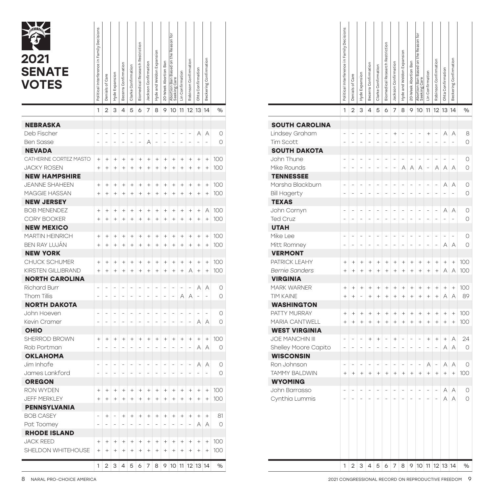| 2021<br><b>SENATE</b><br><b>VOTES</b> | Political Interference in Family Decisions | Denials of Care | Hyde Expansion   | Becerra Confirmation | Clarke Confirmation | <b>Biomedical Research Restriction</b> | Jackson Confirmation | Hyde and Weldon Expansion | 20-Week Abortion Ban | ē<br>Abortion Ban Based on the Reason<br>Seeking Care | Lin Confirmation | Robinson Confirmation | Ohta Confirmation | Beckering Confirmation |        |
|---------------------------------------|--------------------------------------------|-----------------|------------------|----------------------|---------------------|----------------------------------------|----------------------|---------------------------|----------------------|-------------------------------------------------------|------------------|-----------------------|-------------------|------------------------|--------|
|                                       | 1                                          | $\overline{2}$  | 3                | 4                    | 5                   | 6                                      | 7                    | 8                         | 9                    | 10                                                    | 11               | 12                    | 13                | 14                     | %      |
| <b>NEBRASKA</b>                       |                                            |                 |                  |                      |                     |                                        |                      |                           |                      |                                                       |                  |                       |                   |                        |        |
| Deb Fischer                           |                                            |                 |                  |                      |                     |                                        |                      |                           |                      |                                                       |                  | Ē,                    | А                 | A                      | 0      |
| <b>Ben Sasse</b>                      |                                            |                 |                  |                      |                     |                                        | А                    |                           |                      |                                                       |                  |                       |                   |                        | 0      |
| <b>NEVADA</b>                         |                                            |                 |                  |                      |                     |                                        |                      |                           |                      |                                                       |                  |                       |                   |                        |        |
| CATHERINE CORTEZ MASTO                | $^{+}$                                     | $^{+}$          | $^{+}$           | $^{+}$               | $^{+}$              | $^{+}$                                 | $^{+}$               | $^{+}$                    | $^{+}$               | $^{+}$                                                | $^{+}$           | $^{+}$                | $^{+}$            | $^{+}$                 | 100    |
| <b>JACKY ROSEN</b>                    | $^{+}$                                     | $^{+}$          | $^{+}$           | $^{+}$               | $^{+}$              | $^{+}$                                 | $^{+}$               | $^{+}$                    | $^{+}$               | $^{+}$                                                | $^{+}$           | $^{+}$                | $^{+}$            | $^{+}$                 | 100    |
| <b>NEW HAMPSHIRE</b>                  |                                            |                 |                  |                      |                     |                                        |                      |                           |                      |                                                       |                  |                       |                   |                        |        |
| <b>JEANNE SHAHEEN</b>                 | $^{+}$                                     | $^{+}$          | $^{+}$           | $^{+}$               | $^{+}$              | $^{+}$                                 | $^{+}$               | $^{+}$                    | $^{+}$               | $^{+}$                                                | $^{+}$           | $^{+}$                | $^{+}$            | $^{+}$                 | 100    |
| MAGGIE HASSAN                         | $^{+}$                                     | $^{+}$          | $^{+}$           | $^{+}$               | $^{+}$              | $^{+}$                                 | $^{+}$               | $^{+}$                    | $^{+}$               | $^{+}$                                                | $^{+}$           | $^{+}$                | $^{+}$            | $^{+}$                 | 100    |
| <b>NEW JERSEY</b>                     |                                            |                 |                  |                      |                     |                                        |                      |                           |                      |                                                       |                  |                       |                   |                        |        |
| <b>BOB MENENDEZ</b>                   | $^{+}$                                     | $^{+}$          | $^{+}$           | $^{+}$               | $^{+}$              | $^{+}$                                 | $^{+}$               | $^{+}$                    | $^{+}$               | $^{+}$                                                | $^{+}$           | $^{+}$                | $^{+}$            | А                      | 100    |
| <b>CORY BOOKER</b>                    | $^{+}$                                     | $^{+}$          | $^{+}$           | $^{+}$               | $^{+}$              | $^{+}$                                 | $^{+}$               | $^{+}$                    | $^{+}$               | $^{+}$                                                | $^{+}$           | $^{+}$                | $^{+}$            | $\ddot{}$              | 100    |
| <b>NEW MEXICO</b>                     |                                            |                 |                  |                      |                     |                                        |                      |                           |                      |                                                       |                  |                       |                   |                        |        |
| <b>MARTIN HEINRICH</b>                | $^{+}$                                     | $^{+}$          | $^{+}$           | $^{+}$               | $^{+}$              | $^{+}$                                 | $^{+}$               | $^{+}$                    | $^{+}$               | $^{+}$                                                | $^{+}$           | $^{+}$                | $^{+}$            | $^{+}$                 | 100    |
| BEN RAY LUJÁN                         | $^{+}$                                     | $^{+}$          | $^{+}$           | $^{+}$               | $^{+}$              | $^{+}$                                 | $^{+}$               | $^{+}$                    | $^{+}$               | $^{+}$                                                | $^{+}$           | $^{+}$                | $^{+}$            | $^{+}$                 | 100    |
| <b>NEW YORK</b>                       |                                            |                 |                  |                      |                     |                                        |                      |                           |                      |                                                       |                  |                       |                   |                        |        |
| CHUCK SCHUMER                         | $^{+}$                                     | $^{+}$          | $^{+}$           | $^{+}$               | $^{+}$              | $^{+}$                                 | $^{+}$               | $^{+}$                    | $^{+}$               | $^{+}$                                                | $^{+}$           | $^{+}$                | $^{+}$            | $^{+}$                 | 100    |
| KIRSTEN GILLIBRAND                    | $^{+}$                                     | $^{+}$          | $^{+}$           | $^{+}$               | $^{+}$              | $^{+}$                                 | $^{+}$               | $^{+}$                    | $^{+}$               | $^{+}$                                                | $^{+}$           | А                     | $^{+}$            | $^{+}$                 | 100    |
| <b>NORTH CAROLINA</b>                 |                                            |                 |                  |                      |                     |                                        |                      |                           |                      |                                                       |                  |                       |                   |                        |        |
| Richard Burr                          |                                            |                 |                  |                      |                     |                                        |                      |                           |                      |                                                       | ÷                |                       | А                 | А                      | 0      |
| Thom Tillis                           |                                            |                 |                  |                      |                     |                                        |                      |                           |                      |                                                       | A                | A                     |                   |                        | 0      |
| <b>NORTH DAKOTA</b>                   |                                            |                 |                  |                      |                     |                                        |                      |                           |                      |                                                       |                  |                       |                   |                        |        |
| John Hoeven                           |                                            |                 |                  |                      |                     |                                        |                      |                           |                      |                                                       |                  |                       |                   | ÷,                     | 0      |
| Kevin Cramer                          |                                            |                 |                  |                      |                     |                                        |                      |                           |                      |                                                       |                  |                       | Α                 | А                      | 0      |
| <b>OHIO</b>                           |                                            |                 |                  |                      |                     |                                        |                      |                           |                      |                                                       |                  |                       |                   |                        |        |
| SHERROD BROWN                         | $^{+}$                                     | $^{+}$          | $^{+}$           | $^{+}$               | $^{+}$              | $^{+}$                                 | $^{+}$               | $^{+}$                    | $^{+}$               | $^{+}$                                                | $^{+}$           | $^{+}$                | $^{+}$            | $^{+}$                 | 100    |
| Rob Portman                           |                                            |                 |                  |                      |                     |                                        |                      |                           |                      |                                                       |                  |                       | A                 | A                      | 0      |
| <b>OKLAHOMA</b>                       |                                            |                 |                  |                      |                     |                                        |                      |                           |                      |                                                       |                  |                       |                   |                        |        |
| Jim Inhofe<br>James Lankford          |                                            |                 |                  |                      |                     |                                        |                      |                           |                      |                                                       |                  |                       | Α                 | А                      | 0<br>0 |
| <b>OREGON</b>                         |                                            |                 |                  |                      |                     |                                        |                      |                           |                      |                                                       |                  |                       |                   |                        |        |
| <b>RON WYDEN</b>                      | $^{+}$                                     | $^{+}$          |                  | $^{+}$               | $^{+}$              | $^{+}$                                 | $^{+}$               | $^{+}$                    | $^{+}$               | $^{+}$                                                | $^{+}$           | $^{+}$                | $^{+}$            | $^{+}$                 | 100    |
| <b>JEFF MERKLEY</b>                   | $^{+}$                                     | $^{+}$          | $^{+}$<br>$^{+}$ | $^{+}$               | $^{+}$              | $^{+}$                                 | $^{+}$               | $^{+}$                    | $^{+}$               | $^{+}$                                                | $^{+}$           | $^{+}$                | $^{+}$            | $^{+}$                 | 100    |
|                                       |                                            |                 |                  |                      |                     |                                        |                      |                           |                      |                                                       |                  |                       |                   |                        |        |
| PENNSYLVANIA<br><b>BOB CASEY</b>      |                                            | $^{+}$          |                  | $^{+}$               | $^{+}$              | $^{+}$                                 | $^{+}$               | $^{+}$                    | $^{+}$               | $^{+}$                                                | $^{+}$           | $^{+}$                | $^{+}$            | $^{+}$                 | 81     |
| Pat Toomey                            |                                            |                 |                  |                      |                     |                                        |                      |                           |                      |                                                       |                  |                       | Α                 | Α                      | 0      |
| <b>RHODE ISLAND</b>                   |                                            |                 |                  |                      |                     |                                        |                      |                           |                      |                                                       |                  |                       |                   |                        |        |
| <b>JACK REED</b>                      | $^{+}$                                     | $^{+}$          | $^{+}$           | $^{+}$               | $\qquad \qquad +$   | $^{+}$                                 | $^{+}$               | $^{+}$                    | $^{+}$               | $^{+}$                                                | $^{+}$           | $^{+}$                | $^{+}$            | $^{+}$                 | 100    |
| SHELDON WHITEHOUSE                    | $^{+}$                                     | $^{+}$          | $^{+}$           | $^{+}$               | $^{+}$              | $^{+}$                                 | $^{+}$               | $^{+}$                    | $^{+}$               | $^{+}$                                                | $^{+}$           | $^{+}$                | $^{+}$            | $^{+}$                 | 100    |
|                                       |                                            |                 |                  |                      |                     |                                        |                      |                           |                      |                                                       |                  |                       |                   |                        |        |
|                                       | 1                                          | 2               | З                | 4                    | 5                   | 6                                      | 7                    | 8                         | 9                    | 10 11                                                 |                  | 12 13 14              |                   |                        | %      |

|                        | Political Interference in Family Decisions | Denials of Care | Hyde Expansion | Becerra Confirmation | Clarke Confirmation | Biomedical Research Restriction | Jackson Confirmation | Hyde and Weldon Expansion | 20-Week Abortion Ban | Abortion Ban Based on the Reason for<br>Seeking Care | Lin Confirmation | Robinson Confirmation | Ohta Confirmation | Beckering Confirmation |         |
|------------------------|--------------------------------------------|-----------------|----------------|----------------------|---------------------|---------------------------------|----------------------|---------------------------|----------------------|------------------------------------------------------|------------------|-----------------------|-------------------|------------------------|---------|
|                        | 1                                          | $\overline{2}$  | 3              | 4                    | 5                   | 6                               | 7                    | 8                         | 9                    | 10                                                   | 11               | 12                    | 13                | 14                     | $\%$    |
| <b>SOUTH CAROLINA</b>  |                                            |                 |                |                      |                     |                                 |                      |                           |                      |                                                      |                  |                       |                   |                        |         |
| Lindsey Graham         |                                            |                 | $\overline{a}$ |                      | L,                  | $\overline{a}$                  | $^{+}$               | $\overline{a}$            | $\overline{a}$       | L,                                                   | $^{+}$           | $\overline{a}$        | Α                 | A                      | 8       |
| Tim Scott              |                                            |                 | $\overline{a}$ | $\overline{a}$       | $\overline{a}$      | L                               | L                    | L                         | $\overline{a}$       |                                                      |                  |                       |                   |                        | O       |
| <b>SOUTH DAKOTA</b>    |                                            |                 |                |                      |                     |                                 |                      |                           |                      |                                                      |                  |                       |                   |                        |         |
| John Thune             |                                            |                 |                |                      | L,                  |                                 | $\overline{a}$       | L,                        | -                    |                                                      | $\overline{a}$   |                       |                   | $\overline{a}$         | 0       |
| Mike Rounds            |                                            |                 |                |                      |                     |                                 | L                    | A                         | Α                    | A                                                    | $\overline{a}$   | A                     | Α                 | A                      | О       |
| <b>TENNESSEE</b>       |                                            |                 |                |                      |                     |                                 |                      |                           |                      |                                                      |                  |                       |                   |                        |         |
| Marsha Blackburn       |                                            |                 |                |                      | L,                  |                                 | L,                   |                           | $\overline{a}$       |                                                      | $\overline{a}$   |                       | Α                 | A                      | 0       |
| <b>Bill Hagerty</b>    |                                            |                 |                |                      | L                   |                                 | L                    |                           | $\overline{a}$       |                                                      | $\overline{a}$   |                       |                   |                        | O       |
| <b>TEXAS</b>           |                                            |                 |                |                      |                     |                                 |                      |                           |                      |                                                      |                  |                       |                   |                        |         |
| John Cornyn            |                                            |                 |                |                      | L,                  |                                 | L,                   |                           | $\overline{a}$       |                                                      | $\overline{a}$   |                       | Α                 | Α                      | 0       |
| <b>Ted Cruz</b>        |                                            |                 |                |                      |                     |                                 |                      |                           |                      |                                                      | L                |                       |                   |                        | О       |
| <b>UTAH</b>            |                                            |                 |                |                      |                     |                                 |                      |                           |                      |                                                      |                  |                       |                   |                        |         |
| Mike Lee               |                                            |                 |                |                      | L,                  |                                 | L,                   |                           | $\overline{a}$       |                                                      | $\overline{a}$   |                       | ÷                 | $\overline{a}$         | 0       |
| Mitt Romney            |                                            |                 |                |                      | $\overline{a}$      | $\overline{a}$                  | L                    | $\overline{a}$            | $\overline{a}$       | $\overline{a}$                                       | $\overline{a}$   |                       | Α                 | A                      | $\circ$ |
| <b>VERMONT</b>         |                                            |                 |                |                      |                     |                                 |                      |                           |                      |                                                      |                  |                       |                   |                        |         |
| PATRICK LEAHY          | $^{+}$                                     | $^{+}$          | $^{+}$         | $\ddot{}$            | $^{+}$              | $^{+}$                          | $^{+}$               | $^{+}$                    | $^{+}$               | $^{+}$                                               | $^{+}$           | $^{+}$                | $^{+}$            | $\ddot{}$              | 100     |
| <b>Bernie Sanders</b>  | $\ddot{}$                                  | $\ddot{}$       | $\ddot{}$      | $\ddot{}$            | $\ddot{}$           | $^{+}$                          | $\ddot{}$            | $\ddot{}$                 | $\ddot{}$            | $\ddot{}$                                            | $\ddot{}$        | $\ddot{}$             | Α                 | A                      | 100     |
| <b>VIRGINIA</b>        |                                            |                 |                |                      |                     |                                 |                      |                           |                      |                                                      |                  |                       |                   |                        |         |
| <b>MARK WARNER</b>     | $^{+}$                                     | $^{+}$          | $^{+}$         | $\ddot{}$            | $^{+}$              | $\ddot{}$                       | $^{+}$               | $^{+}$                    | $^{+}$               | $^{+}$                                               | $^{+}$           | $^{+}$                | $^{+}$            | $\ddot{}$              | 100     |
| <b>TIM KAINE</b>       | $\ddot{}$                                  | $\ddot{}$       | L              | $\ddot{}$            | $\ddot{}$           | $\ddot{}$                       | $\ddot{}$            | $\ddot{}$                 | $\ddot{}$            | $\ddot{}$                                            | $\ddot{}$        | $\ddot{}$             | Α                 | A                      | 89      |
| <b>WASHINGTON</b>      |                                            |                 |                |                      |                     |                                 |                      |                           |                      |                                                      |                  |                       |                   |                        |         |
| PATTY MURRAY           | $^{+}$                                     | $^{+}$          | $^{+}$         | $\ddot{}$            | $^{+}$              | $^{+}$                          | $^{+}$               | $^{+}$                    | $^{+}$               | $^{+}$                                               | $^{+}$           | $^{+}$                | $^{+}$            | $^{+}$                 | 100     |
| MARIA CANTWELL         | $\ddot{}$                                  | $\ddot{}$       | $\ddot{}$      | $\ddot{}$            | $\ddot{}$           | $^{+}$                          | $\ddot{}$            | $\ddot{}$                 | $\ddot{}$            | $\ddot{}$                                            | $\ddot{}$        | $\ddot{}$             | $\ddot{}$         | $\ddot{}$              | 100     |
| <b>WEST VIRGINIA</b>   |                                            |                 |                |                      |                     |                                 |                      |                           |                      |                                                      |                  |                       |                   |                        |         |
| <b>JOE MANCHIN III</b> |                                            |                 | -              | $^{+}$               | $^{+}$              | $\overline{a}$                  | $^{+}$               | $\overline{a}$            | $\overline{a}$       | $\overline{a}$                                       | $^{+}$           | $^{+}$                | $^{+}$            | Α                      | 24      |
| Shelley Moore Capito   | L,                                         |                 | $\overline{a}$ |                      | $\overline{a}$      |                                 | L                    | L                         | $\overline{a}$       |                                                      | $\overline{a}$   |                       | Α                 | A                      | $\circ$ |
| <b>WISCONSIN</b>       |                                            |                 |                |                      |                     |                                 |                      |                           |                      |                                                      |                  |                       |                   |                        |         |
| Ron Johnson            |                                            |                 |                |                      | L,                  |                                 | L,                   |                           | $\overline{a}$       | $\overline{a}$                                       | A                | -                     | A                 | A                      | 0       |
| <b>TAMMY BALDWIN</b>   | $\ddot{}$                                  | $\ddot{}$       | $\ddot{}$      | $\ddot{}$            | $\ddot{}$           | $\ddot{}$                       | $\ddot{}$            | $\ddot{}$                 | $\ddot{}$            | $\ddot{}$                                            | $\ddot{}$        | $\ddot{}$             | $\ddot{}$         | $\ddot{}$              | 100     |
| <b>WYOMING</b>         |                                            |                 |                |                      |                     |                                 |                      |                           |                      |                                                      |                  |                       |                   |                        |         |
| John Barrasso          |                                            |                 |                |                      |                     |                                 |                      |                           |                      |                                                      |                  |                       | Α                 | Α                      | 0       |
| Cynthia Lummis         |                                            |                 |                |                      |                     |                                 |                      |                           |                      |                                                      |                  |                       | Α                 | A                      | О       |
|                        |                                            |                 |                |                      |                     |                                 |                      |                           |                      |                                                      |                  |                       |                   |                        |         |
|                        | 1                                          | 2               | 3              | 4                    | 5                   | 6                               | 7                    | 8                         | 9                    | 10                                                   | 11               |                       | 12 13 14          |                        | $\%$    |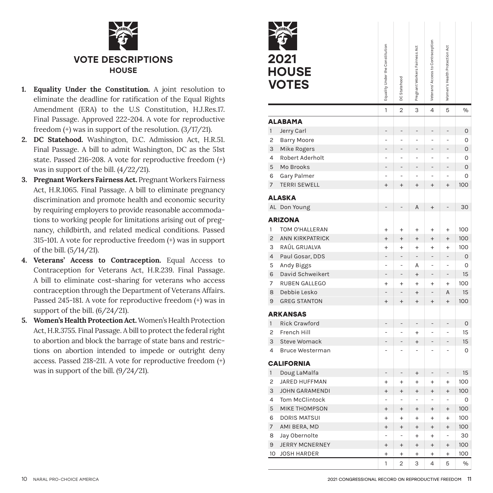

- **1. Equality Under the Constitution.** A joint resolution to eliminate the deadline for ratification of the Equal Rights Amendment (ERA) to the U.S Constitution, H.J.Res.17. Final Passage. Approved 222-204. A vote for reproductive freedom (+) was in support of the resolution. (3/17/21).
- **2. DC Statehood.** Washington, D.C. Admission Act, H.R.51. Final Passage. A bill to admit Washington, DC as the 51st state. Passed 216-208. A vote for reproductive freedom (+) was in support of the bill. (4/22/21).
- **3. Pregnant Workers Fairness Act.** Pregnant Workers Fairness Act, H.R.1065. Final Passage. A bill to eliminate pregnancy discrimination and promote health and economic security by requiring employers to provide reasonable accommodations to working people for limitations arising out of pregnancy, childbirth, and related medical conditions. Passed 315-101. A vote for reproductive freedom (+) was in support of the bill. (5/14/21).
- **4. Veterans' Access to Contraception.** Equal Access to Contraception for Veterans Act, H.R.239. Final Passage. A bill to eliminate cost-sharing for veterans who access contraception through the Department of Veterans Affairs. Passed 245-181. A vote for reproductive freedom (+) was in support of the bill. (6/24/21).
- **5. Women's Health Protection Act.** Women's Health Protection Act, H.R.3755. Final Passage. A bill to protect the federal right to abortion and block the barrage of state bans and restrictions on abortion intended to impede or outright deny access. Passed 218-211. A vote for reproductive freedom (+) was in support of the bill. (9/24/21).



|                | 2021<br><b>HOUSE</b><br><b>VOTES</b> | Equality Under the Constitution | DC Statehood   | Pregnant Workers Fairness Act | Veterans' Access to Contraception | Women's Health Protection Act |              |  |
|----------------|--------------------------------------|---------------------------------|----------------|-------------------------------|-----------------------------------|-------------------------------|--------------|--|
|                |                                      | $\overline{1}$                  | $\overline{2}$ | 3                             | 4                                 | 5                             | %            |  |
|                | <b>ALABAMA</b>                       |                                 |                |                               |                                   |                               |              |  |
| $\mathbf{1}$   | Jerry Carl                           | $\overline{a}$                  |                |                               |                                   | -                             | $\mathsf{O}$ |  |
| 2              | <b>Barry Moore</b>                   | L                               |                | L                             |                                   | $\overline{a}$                | 0            |  |
| 3              | Mike Rogers                          | $\overline{a}$                  | L,             | L,                            | L                                 | $\overline{a}$                | 0            |  |
| 4              | Robert Aderholt                      | $\overline{a}$                  | L,             | $\overline{a}$                | $\overline{a}$                    | $\overline{a}$                | 0            |  |
| 5              | Mo Brooks                            | $\overline{a}$                  | $\overline{a}$ | $\overline{a}$                | L                                 | $\overline{a}$                | 0            |  |
| 6              | Gary Palmer                          | $\overline{a}$                  | $\overline{a}$ | $\overline{a}$                | $\overline{a}$                    | $\overline{a}$                | 0            |  |
| 7              | <b>TERRI SEWELL</b>                  | $\ddot{}$                       | $\ddot{}$      | $\ddot{}$                     | $\overline{+}$                    | $\ddot{}$                     | 100          |  |
|                | <b>ALASKA</b>                        |                                 |                |                               |                                   |                               |              |  |
| AL             | Don Young                            |                                 |                | A                             | $^{+}$                            |                               | 30           |  |
|                | <b>ARIZONA</b>                       |                                 |                |                               |                                   |                               |              |  |
| 1              | TOM O'HALLERAN                       | $\ddot{}$                       | $\ddot{}$      | $\ddot{}$                     | $\ddot{}$                         | $\ddot{}$                     | 100          |  |
| $\overline{c}$ | <b>ANN KIRKPATRICK</b>               | $\ddot{}$                       | $^{+}$         | $^{+}$                        | $\ddot{}$                         | $^{+}$                        | 100          |  |
| 3              | RAÚL GRIJALVA                        | $\ddot{}$                       | $\ddot{}$      | $\ddot{}$                     | $\ddot{}$                         | $\ddot{}$                     | 100          |  |
| $\overline{4}$ | Paul Gosar, DDS                      | $\overline{a}$                  | $\overline{a}$ | ÷,                            | L                                 | $\overline{a}$                | 0            |  |
| 5              | Andy Biggs                           | $\overline{a}$                  | $\overline{a}$ | Α                             | L                                 | L                             | 0            |  |
| 6              | David Schweikert                     | $\overline{a}$                  | $\overline{a}$ | $^{+}$                        | L,                                | $\overline{a}$                | 15           |  |
| 7              | RUBEN GALLEGO                        | $\ddot{}$                       | $\ddot{}$      | $\ddot{}$                     | $\ddot{}$                         | $\ddot{}$                     | 100          |  |
| 8              | Debbie Lesko                         | $\overline{a}$                  | $\overline{a}$ | $^{+}$                        | L                                 | A                             | 15           |  |
| 9              | <b>GREG STANTON</b>                  | $\overline{+}$                  | $\overline{+}$ | $\ddot{}$                     | $\overline{+}$                    | $\ddot{}$                     | 100          |  |
|                | <b>ARKANSAS</b>                      |                                 |                |                               |                                   |                               |              |  |
| $\mathbf{1}$   | <b>Rick Crawford</b>                 | -                               | $\overline{a}$ | $\overline{a}$                |                                   | $\overline{a}$                | $\mathsf{O}$ |  |
| 2              | French Hill                          | -                               | ÷              | $\ddot{}$                     | $\overline{a}$                    | -                             | 15           |  |
| 3              | <b>Steve Womack</b>                  | $\overline{a}$                  |                | $^{+}$                        |                                   | $\overline{a}$                | 15           |  |
| 4              | <b>Bruce Westerman</b>               | L                               |                | -                             |                                   | L                             | 0            |  |
|                | <b>CALIFORNIA</b>                    |                                 |                |                               |                                   |                               |              |  |
| $\mathbf{1}$   | Doug LaMalfa                         |                                 |                | $^{+}$                        |                                   |                               | 15           |  |
| 2              | JARED HUFFMAN                        | $\ddot{}$                       | $\ddot{}$      | $\ddot{}$                     | $\ddot{}$                         | $\ddot{}$                     | 100          |  |
| 3              | <b>JOHN GARAMENDI</b>                | $\ddot{}$                       | $\ddot{}$      | $\ddot{}$                     | $\ddot{}$                         | $\ddot{}$                     | 100          |  |
| 4              | Tom McClintock                       | L                               | $\overline{a}$ | $\overline{a}$                | $\overline{a}$                    | L                             | 0            |  |
| 5              | <b>MIKE THOMPSON</b>                 | $^{+}$                          | $\ddot{}$      | $^{+}$                        | $\ddot{}$                         | $\ddot{}$                     | 100          |  |
| 6              | <b>DORIS MATSUI</b>                  | $\ddot{}$                       | $\ddot{}$      | $\ddot{}$                     | $\ddot{}$                         | $\ddot{}$                     | 100          |  |
| 7              | AMI BERA, MD                         | $\ddot{}$                       | $\ddot{}$      | $\ddot{}$                     | $\ddot{}$                         | $\ddot{}$                     | 100          |  |
| 8              | Jay Obernolte                        |                                 | $\overline{a}$ | $\ddot{}$                     | $\ddot{}$                         | $\overline{a}$                | 30           |  |
| 9              | <b>JERRY MCNERNEY</b>                | $\ddot{}$                       | $\ddot{}$      | $\ddot{}$                     | $^{+}$                            | $\ddot{}$                     | 100          |  |
| 10             | <b>JOSH HARDER</b>                   | $\ddot{}$                       | $^{+}$         | $^{+}$                        | $^{+}$                            | $^{+}$                        | 100          |  |
|                |                                      | 1                               | $\overline{2}$ | 3                             | 4                                 | 5                             | %            |  |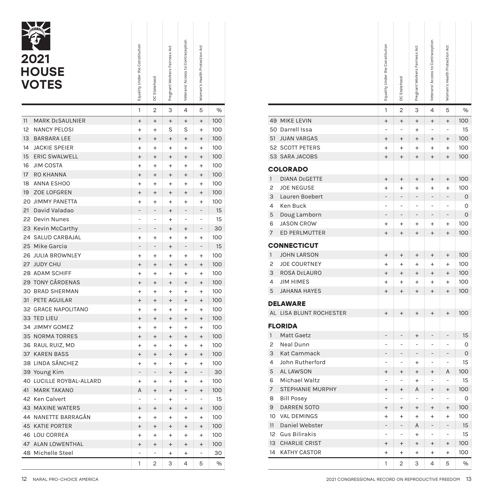| 1<br>$\overline{2}$<br>3<br>4<br>5<br>$\frac{1}{2}$<br>11<br><b>MARK DESAULNIER</b><br>100<br>$\ddot{}$<br>$^{+}$<br>$^{+}$<br>$^{+}$<br>$^{+}$<br>12<br><b>NANCY PELOSI</b><br>S<br>S<br>100<br>$\ddot{}$<br>$\ddot{}$<br>$\ddot{}$<br>13<br><b>BARBARA LEE</b><br>100<br>$\ddot{}$<br>$^{+}$<br>$^{+}$<br>$\ddot{}$<br>$\ddot{}$<br>14<br><b>JACKIE SPEIER</b><br>100<br>$\ddot{}$<br>$\ddot{}$<br>$\ddot{}$<br>$\ddot{}$<br>$\ddot{}$<br><b>ERIC SWALWELL</b><br>15<br>100<br>$^{+}$<br>$^{+}$<br>$^{+}$<br>$\ddot{}$<br>$\ddot{}$<br><b>JIM COSTA</b><br>16<br>100<br>$\ddot{}$<br>$\ddot{}$<br>$\ddot{}$<br>$\ddot{}$<br>$\ddot{}$<br>17<br><b>RO KHANNA</b><br>100<br>$\ddot{}$<br>$^{+}$<br>$\ddot{}$<br>$\ddot{}$<br>$\ddot{}$<br><b>ANNA ESHOO</b><br>18<br>100<br>$\ddot{}$<br>$\ddot{}$<br>$\ddot{}$<br>$\ddot{}$<br>$\ddot{}$<br>ZOE LOFGREN<br>19<br>100<br>$^{+}$<br>$^{+}$<br>$^{+}$<br>$\ddot{}$<br>$^{+}$<br><b>20 JIMMY PANETTA</b><br>100<br>$\ddot{}$<br>$\ddot{}$<br>$\ddot{}$<br>$\ddot{}$<br>$\ddot{}$<br>21<br>David Valadao<br>15<br>$\ddot{}$<br>22 Devin Nunes<br>15<br>L<br>L,<br>$\ddot{}$<br>L<br>L<br>23<br>Kevin McCarthy<br>$\overline{a}$<br>30<br>$^{+}$<br>$^{+}$<br>24<br><b>SALUD CARBAJAL</b><br>100<br>$\ddot{}$<br>$\ddot{}$<br>$\ddot{}$<br>$\ddot{}$<br>$\ddot{}$<br>25<br>Mike Garcia<br>15<br>$\overline{a}$<br>$^{+}$<br>26<br><b>JULIA BROWNLEY</b><br>100<br>$\ddot{}$<br>$\ddot{}$<br>$\ddot{}$<br>$\ddot{}$<br>$\ddot{}$<br>27 JUDY CHU<br>100<br>$^{+}$<br>$^{+}$<br>$^{+}$<br>$^{+}$<br>$^{+}$<br>28 ADAM SCHIFF<br>100<br>$\ddot{}$<br>$\ddot{}$<br>$\ddot{}$<br>$\ddot{}$<br>$\ddot{}$<br><b>TONY CÁRDENAS</b><br>29<br>100<br>$\ddot{}$<br>$\ddot{}$<br>$\ddot{}$<br>$^{+}$<br>$\ddot{}$<br>30<br><b>BRAD SHERMAN</b><br>100<br>$\ddot{}$<br>$\ddot{}$<br>$\ddot{}$<br>$\ddot{}$<br>$\ddot{}$<br>31<br>PETE AGUILAR<br>100<br>$^{+}$<br>$^{+}$<br>$^{+}$<br>$^{+}$<br>$\ddot{}$<br>32 GRACE NAPOLITANO<br>100<br>$\ddot{}$<br>$\ddot{}$<br>$\ddot{}$<br>$\ddot{}$<br>$\ddot{}$<br>33 TED LIEU<br>100<br>$^{+}$<br>$\ddot{}$<br>$^{+}$<br>$\ddot{}$<br>$^{+}$<br><b>JIMMY GOMEZ</b><br>100<br>34<br>$\ddot{}$<br>$\ddot{}$<br>$\ddot{}$<br>$\ddot{}$<br>$\ddot{}$<br><b>NORMA TORRES</b><br>100<br>35<br>$^{+}$<br>$\ddot{}$<br>$^{+}$<br>$^{+}$<br>$^{+}$<br>RAUL RUIZ, MD<br>100<br>36<br>$\ddot{}$<br>$\ddot{}$<br>$\ddot{}$<br>$\ddot{}$<br>$\ddot{}$<br>37<br><b>KAREN BASS</b><br>$^{+}$<br>100<br>$^{+}$<br>$\ddot{}$<br>$^{+}$<br>$\ddot{}$<br>LINDA SÁNCHEZ<br>100<br>38<br>$\ddot{}$<br>$\ddot{}$<br>$\ddot{}$<br>$\ddot{}$<br>$\ddot{}$<br>Young Kim<br>30<br>39<br>$\overline{a}$<br>÷,<br>$\overline{a}$<br>$^{+}$<br>$^{+}$<br>40<br>LUCILLE ROYBAL-ALLARD<br>$\ddot{}$<br>$\ddot{}$<br>100<br>$\ddot{}$<br>$\ddot{}$<br>$\ddot{}$<br>41<br><b>MARK TAKANO</b><br>A<br>100<br>$^{+}$<br>$^{+}$<br>$\ddot{}$<br>$^{+}$<br>42 Ken Calvert<br>15<br>L,<br>$\overline{a}$<br>$\ddot{}$<br>$\overline{a}$<br>L<br><b>MAXINE WATERS</b><br>100<br>43<br>$^{+}$<br>$^{+}$<br>$^{+}$<br>$\ddot{}$<br>$^{+}$<br>NANETTE BARRAGÁN<br>44<br>100<br>$\ddot{}$<br>$\ddot{}$<br>$\ddot{}$<br>$\ddot{}$<br>$\ddot{}$<br><b>KATIE PORTER</b><br>45<br>100<br>$^{+}$<br>$^{+}$<br>$^{+}$<br>$^{+}$<br>$^{+}$<br>LOU CORREA<br>46<br>100<br>$\ddot{}$<br>$\ddot{}$<br>$\ddot{}$<br>$^{+}$<br>$\ddot{}$<br><b>ALAN LOWENTHAL</b><br>47<br>100<br>$^{+}$<br>$^{+}$<br>$^{+}$<br>$^{+}$<br>$^{+}$<br>Michelle Steel<br>48<br>$\overline{a}$<br>30<br>$\overline{a}$<br>$\overline{a}$<br>$\ddot{}$<br>$\ddot{}$<br>$\frac{1}{2}$<br>1<br>$\overline{2}$<br>3<br>4<br>5 | 2021<br><b>HOUSE</b><br><b>VOTES</b> | Equality Under the Constitution | DC Statehood | Pregnant Workers Fairness Act | Veterans' Access to Contraception | Women's Health Protection Act |  |
|-----------------------------------------------------------------------------------------------------------------------------------------------------------------------------------------------------------------------------------------------------------------------------------------------------------------------------------------------------------------------------------------------------------------------------------------------------------------------------------------------------------------------------------------------------------------------------------------------------------------------------------------------------------------------------------------------------------------------------------------------------------------------------------------------------------------------------------------------------------------------------------------------------------------------------------------------------------------------------------------------------------------------------------------------------------------------------------------------------------------------------------------------------------------------------------------------------------------------------------------------------------------------------------------------------------------------------------------------------------------------------------------------------------------------------------------------------------------------------------------------------------------------------------------------------------------------------------------------------------------------------------------------------------------------------------------------------------------------------------------------------------------------------------------------------------------------------------------------------------------------------------------------------------------------------------------------------------------------------------------------------------------------------------------------------------------------------------------------------------------------------------------------------------------------------------------------------------------------------------------------------------------------------------------------------------------------------------------------------------------------------------------------------------------------------------------------------------------------------------------------------------------------------------------------------------------------------------------------------------------------------------------------------------------------------------------------------------------------------------------------------------------------------------------------------------------------------------------------------------------------------------------------------------------------------------------------------------------------------------------------------------------------------------------------------------------------------------------------------------------------------------------------------------------------------------------------------------------------------------------------------------------------------------------------------------------------------------------------------------------------------------------------------------------------------------------------------------------------------------------------------------------------------------------------------------------------------------------------------------------------|--------------------------------------|---------------------------------|--------------|-------------------------------|-----------------------------------|-------------------------------|--|
|                                                                                                                                                                                                                                                                                                                                                                                                                                                                                                                                                                                                                                                                                                                                                                                                                                                                                                                                                                                                                                                                                                                                                                                                                                                                                                                                                                                                                                                                                                                                                                                                                                                                                                                                                                                                                                                                                                                                                                                                                                                                                                                                                                                                                                                                                                                                                                                                                                                                                                                                                                                                                                                                                                                                                                                                                                                                                                                                                                                                                                                                                                                                                                                                                                                                                                                                                                                                                                                                                                                                                                                                                       |                                      |                                 |              |                               |                                   |                               |  |
|                                                                                                                                                                                                                                                                                                                                                                                                                                                                                                                                                                                                                                                                                                                                                                                                                                                                                                                                                                                                                                                                                                                                                                                                                                                                                                                                                                                                                                                                                                                                                                                                                                                                                                                                                                                                                                                                                                                                                                                                                                                                                                                                                                                                                                                                                                                                                                                                                                                                                                                                                                                                                                                                                                                                                                                                                                                                                                                                                                                                                                                                                                                                                                                                                                                                                                                                                                                                                                                                                                                                                                                                                       |                                      |                                 |              |                               |                                   |                               |  |
|                                                                                                                                                                                                                                                                                                                                                                                                                                                                                                                                                                                                                                                                                                                                                                                                                                                                                                                                                                                                                                                                                                                                                                                                                                                                                                                                                                                                                                                                                                                                                                                                                                                                                                                                                                                                                                                                                                                                                                                                                                                                                                                                                                                                                                                                                                                                                                                                                                                                                                                                                                                                                                                                                                                                                                                                                                                                                                                                                                                                                                                                                                                                                                                                                                                                                                                                                                                                                                                                                                                                                                                                                       |                                      |                                 |              |                               |                                   |                               |  |
|                                                                                                                                                                                                                                                                                                                                                                                                                                                                                                                                                                                                                                                                                                                                                                                                                                                                                                                                                                                                                                                                                                                                                                                                                                                                                                                                                                                                                                                                                                                                                                                                                                                                                                                                                                                                                                                                                                                                                                                                                                                                                                                                                                                                                                                                                                                                                                                                                                                                                                                                                                                                                                                                                                                                                                                                                                                                                                                                                                                                                                                                                                                                                                                                                                                                                                                                                                                                                                                                                                                                                                                                                       |                                      |                                 |              |                               |                                   |                               |  |
|                                                                                                                                                                                                                                                                                                                                                                                                                                                                                                                                                                                                                                                                                                                                                                                                                                                                                                                                                                                                                                                                                                                                                                                                                                                                                                                                                                                                                                                                                                                                                                                                                                                                                                                                                                                                                                                                                                                                                                                                                                                                                                                                                                                                                                                                                                                                                                                                                                                                                                                                                                                                                                                                                                                                                                                                                                                                                                                                                                                                                                                                                                                                                                                                                                                                                                                                                                                                                                                                                                                                                                                                                       |                                      |                                 |              |                               |                                   |                               |  |
|                                                                                                                                                                                                                                                                                                                                                                                                                                                                                                                                                                                                                                                                                                                                                                                                                                                                                                                                                                                                                                                                                                                                                                                                                                                                                                                                                                                                                                                                                                                                                                                                                                                                                                                                                                                                                                                                                                                                                                                                                                                                                                                                                                                                                                                                                                                                                                                                                                                                                                                                                                                                                                                                                                                                                                                                                                                                                                                                                                                                                                                                                                                                                                                                                                                                                                                                                                                                                                                                                                                                                                                                                       |                                      |                                 |              |                               |                                   |                               |  |
|                                                                                                                                                                                                                                                                                                                                                                                                                                                                                                                                                                                                                                                                                                                                                                                                                                                                                                                                                                                                                                                                                                                                                                                                                                                                                                                                                                                                                                                                                                                                                                                                                                                                                                                                                                                                                                                                                                                                                                                                                                                                                                                                                                                                                                                                                                                                                                                                                                                                                                                                                                                                                                                                                                                                                                                                                                                                                                                                                                                                                                                                                                                                                                                                                                                                                                                                                                                                                                                                                                                                                                                                                       |                                      |                                 |              |                               |                                   |                               |  |
|                                                                                                                                                                                                                                                                                                                                                                                                                                                                                                                                                                                                                                                                                                                                                                                                                                                                                                                                                                                                                                                                                                                                                                                                                                                                                                                                                                                                                                                                                                                                                                                                                                                                                                                                                                                                                                                                                                                                                                                                                                                                                                                                                                                                                                                                                                                                                                                                                                                                                                                                                                                                                                                                                                                                                                                                                                                                                                                                                                                                                                                                                                                                                                                                                                                                                                                                                                                                                                                                                                                                                                                                                       |                                      |                                 |              |                               |                                   |                               |  |
|                                                                                                                                                                                                                                                                                                                                                                                                                                                                                                                                                                                                                                                                                                                                                                                                                                                                                                                                                                                                                                                                                                                                                                                                                                                                                                                                                                                                                                                                                                                                                                                                                                                                                                                                                                                                                                                                                                                                                                                                                                                                                                                                                                                                                                                                                                                                                                                                                                                                                                                                                                                                                                                                                                                                                                                                                                                                                                                                                                                                                                                                                                                                                                                                                                                                                                                                                                                                                                                                                                                                                                                                                       |                                      |                                 |              |                               |                                   |                               |  |
|                                                                                                                                                                                                                                                                                                                                                                                                                                                                                                                                                                                                                                                                                                                                                                                                                                                                                                                                                                                                                                                                                                                                                                                                                                                                                                                                                                                                                                                                                                                                                                                                                                                                                                                                                                                                                                                                                                                                                                                                                                                                                                                                                                                                                                                                                                                                                                                                                                                                                                                                                                                                                                                                                                                                                                                                                                                                                                                                                                                                                                                                                                                                                                                                                                                                                                                                                                                                                                                                                                                                                                                                                       |                                      |                                 |              |                               |                                   |                               |  |
|                                                                                                                                                                                                                                                                                                                                                                                                                                                                                                                                                                                                                                                                                                                                                                                                                                                                                                                                                                                                                                                                                                                                                                                                                                                                                                                                                                                                                                                                                                                                                                                                                                                                                                                                                                                                                                                                                                                                                                                                                                                                                                                                                                                                                                                                                                                                                                                                                                                                                                                                                                                                                                                                                                                                                                                                                                                                                                                                                                                                                                                                                                                                                                                                                                                                                                                                                                                                                                                                                                                                                                                                                       |                                      |                                 |              |                               |                                   |                               |  |
|                                                                                                                                                                                                                                                                                                                                                                                                                                                                                                                                                                                                                                                                                                                                                                                                                                                                                                                                                                                                                                                                                                                                                                                                                                                                                                                                                                                                                                                                                                                                                                                                                                                                                                                                                                                                                                                                                                                                                                                                                                                                                                                                                                                                                                                                                                                                                                                                                                                                                                                                                                                                                                                                                                                                                                                                                                                                                                                                                                                                                                                                                                                                                                                                                                                                                                                                                                                                                                                                                                                                                                                                                       |                                      |                                 |              |                               |                                   |                               |  |
|                                                                                                                                                                                                                                                                                                                                                                                                                                                                                                                                                                                                                                                                                                                                                                                                                                                                                                                                                                                                                                                                                                                                                                                                                                                                                                                                                                                                                                                                                                                                                                                                                                                                                                                                                                                                                                                                                                                                                                                                                                                                                                                                                                                                                                                                                                                                                                                                                                                                                                                                                                                                                                                                                                                                                                                                                                                                                                                                                                                                                                                                                                                                                                                                                                                                                                                                                                                                                                                                                                                                                                                                                       |                                      |                                 |              |                               |                                   |                               |  |
|                                                                                                                                                                                                                                                                                                                                                                                                                                                                                                                                                                                                                                                                                                                                                                                                                                                                                                                                                                                                                                                                                                                                                                                                                                                                                                                                                                                                                                                                                                                                                                                                                                                                                                                                                                                                                                                                                                                                                                                                                                                                                                                                                                                                                                                                                                                                                                                                                                                                                                                                                                                                                                                                                                                                                                                                                                                                                                                                                                                                                                                                                                                                                                                                                                                                                                                                                                                                                                                                                                                                                                                                                       |                                      |                                 |              |                               |                                   |                               |  |
|                                                                                                                                                                                                                                                                                                                                                                                                                                                                                                                                                                                                                                                                                                                                                                                                                                                                                                                                                                                                                                                                                                                                                                                                                                                                                                                                                                                                                                                                                                                                                                                                                                                                                                                                                                                                                                                                                                                                                                                                                                                                                                                                                                                                                                                                                                                                                                                                                                                                                                                                                                                                                                                                                                                                                                                                                                                                                                                                                                                                                                                                                                                                                                                                                                                                                                                                                                                                                                                                                                                                                                                                                       |                                      |                                 |              |                               |                                   |                               |  |
|                                                                                                                                                                                                                                                                                                                                                                                                                                                                                                                                                                                                                                                                                                                                                                                                                                                                                                                                                                                                                                                                                                                                                                                                                                                                                                                                                                                                                                                                                                                                                                                                                                                                                                                                                                                                                                                                                                                                                                                                                                                                                                                                                                                                                                                                                                                                                                                                                                                                                                                                                                                                                                                                                                                                                                                                                                                                                                                                                                                                                                                                                                                                                                                                                                                                                                                                                                                                                                                                                                                                                                                                                       |                                      |                                 |              |                               |                                   |                               |  |
|                                                                                                                                                                                                                                                                                                                                                                                                                                                                                                                                                                                                                                                                                                                                                                                                                                                                                                                                                                                                                                                                                                                                                                                                                                                                                                                                                                                                                                                                                                                                                                                                                                                                                                                                                                                                                                                                                                                                                                                                                                                                                                                                                                                                                                                                                                                                                                                                                                                                                                                                                                                                                                                                                                                                                                                                                                                                                                                                                                                                                                                                                                                                                                                                                                                                                                                                                                                                                                                                                                                                                                                                                       |                                      |                                 |              |                               |                                   |                               |  |
|                                                                                                                                                                                                                                                                                                                                                                                                                                                                                                                                                                                                                                                                                                                                                                                                                                                                                                                                                                                                                                                                                                                                                                                                                                                                                                                                                                                                                                                                                                                                                                                                                                                                                                                                                                                                                                                                                                                                                                                                                                                                                                                                                                                                                                                                                                                                                                                                                                                                                                                                                                                                                                                                                                                                                                                                                                                                                                                                                                                                                                                                                                                                                                                                                                                                                                                                                                                                                                                                                                                                                                                                                       |                                      |                                 |              |                               |                                   |                               |  |
|                                                                                                                                                                                                                                                                                                                                                                                                                                                                                                                                                                                                                                                                                                                                                                                                                                                                                                                                                                                                                                                                                                                                                                                                                                                                                                                                                                                                                                                                                                                                                                                                                                                                                                                                                                                                                                                                                                                                                                                                                                                                                                                                                                                                                                                                                                                                                                                                                                                                                                                                                                                                                                                                                                                                                                                                                                                                                                                                                                                                                                                                                                                                                                                                                                                                                                                                                                                                                                                                                                                                                                                                                       |                                      |                                 |              |                               |                                   |                               |  |
|                                                                                                                                                                                                                                                                                                                                                                                                                                                                                                                                                                                                                                                                                                                                                                                                                                                                                                                                                                                                                                                                                                                                                                                                                                                                                                                                                                                                                                                                                                                                                                                                                                                                                                                                                                                                                                                                                                                                                                                                                                                                                                                                                                                                                                                                                                                                                                                                                                                                                                                                                                                                                                                                                                                                                                                                                                                                                                                                                                                                                                                                                                                                                                                                                                                                                                                                                                                                                                                                                                                                                                                                                       |                                      |                                 |              |                               |                                   |                               |  |
|                                                                                                                                                                                                                                                                                                                                                                                                                                                                                                                                                                                                                                                                                                                                                                                                                                                                                                                                                                                                                                                                                                                                                                                                                                                                                                                                                                                                                                                                                                                                                                                                                                                                                                                                                                                                                                                                                                                                                                                                                                                                                                                                                                                                                                                                                                                                                                                                                                                                                                                                                                                                                                                                                                                                                                                                                                                                                                                                                                                                                                                                                                                                                                                                                                                                                                                                                                                                                                                                                                                                                                                                                       |                                      |                                 |              |                               |                                   |                               |  |
|                                                                                                                                                                                                                                                                                                                                                                                                                                                                                                                                                                                                                                                                                                                                                                                                                                                                                                                                                                                                                                                                                                                                                                                                                                                                                                                                                                                                                                                                                                                                                                                                                                                                                                                                                                                                                                                                                                                                                                                                                                                                                                                                                                                                                                                                                                                                                                                                                                                                                                                                                                                                                                                                                                                                                                                                                                                                                                                                                                                                                                                                                                                                                                                                                                                                                                                                                                                                                                                                                                                                                                                                                       |                                      |                                 |              |                               |                                   |                               |  |
|                                                                                                                                                                                                                                                                                                                                                                                                                                                                                                                                                                                                                                                                                                                                                                                                                                                                                                                                                                                                                                                                                                                                                                                                                                                                                                                                                                                                                                                                                                                                                                                                                                                                                                                                                                                                                                                                                                                                                                                                                                                                                                                                                                                                                                                                                                                                                                                                                                                                                                                                                                                                                                                                                                                                                                                                                                                                                                                                                                                                                                                                                                                                                                                                                                                                                                                                                                                                                                                                                                                                                                                                                       |                                      |                                 |              |                               |                                   |                               |  |
|                                                                                                                                                                                                                                                                                                                                                                                                                                                                                                                                                                                                                                                                                                                                                                                                                                                                                                                                                                                                                                                                                                                                                                                                                                                                                                                                                                                                                                                                                                                                                                                                                                                                                                                                                                                                                                                                                                                                                                                                                                                                                                                                                                                                                                                                                                                                                                                                                                                                                                                                                                                                                                                                                                                                                                                                                                                                                                                                                                                                                                                                                                                                                                                                                                                                                                                                                                                                                                                                                                                                                                                                                       |                                      |                                 |              |                               |                                   |                               |  |
|                                                                                                                                                                                                                                                                                                                                                                                                                                                                                                                                                                                                                                                                                                                                                                                                                                                                                                                                                                                                                                                                                                                                                                                                                                                                                                                                                                                                                                                                                                                                                                                                                                                                                                                                                                                                                                                                                                                                                                                                                                                                                                                                                                                                                                                                                                                                                                                                                                                                                                                                                                                                                                                                                                                                                                                                                                                                                                                                                                                                                                                                                                                                                                                                                                                                                                                                                                                                                                                                                                                                                                                                                       |                                      |                                 |              |                               |                                   |                               |  |
|                                                                                                                                                                                                                                                                                                                                                                                                                                                                                                                                                                                                                                                                                                                                                                                                                                                                                                                                                                                                                                                                                                                                                                                                                                                                                                                                                                                                                                                                                                                                                                                                                                                                                                                                                                                                                                                                                                                                                                                                                                                                                                                                                                                                                                                                                                                                                                                                                                                                                                                                                                                                                                                                                                                                                                                                                                                                                                                                                                                                                                                                                                                                                                                                                                                                                                                                                                                                                                                                                                                                                                                                                       |                                      |                                 |              |                               |                                   |                               |  |
|                                                                                                                                                                                                                                                                                                                                                                                                                                                                                                                                                                                                                                                                                                                                                                                                                                                                                                                                                                                                                                                                                                                                                                                                                                                                                                                                                                                                                                                                                                                                                                                                                                                                                                                                                                                                                                                                                                                                                                                                                                                                                                                                                                                                                                                                                                                                                                                                                                                                                                                                                                                                                                                                                                                                                                                                                                                                                                                                                                                                                                                                                                                                                                                                                                                                                                                                                                                                                                                                                                                                                                                                                       |                                      |                                 |              |                               |                                   |                               |  |
|                                                                                                                                                                                                                                                                                                                                                                                                                                                                                                                                                                                                                                                                                                                                                                                                                                                                                                                                                                                                                                                                                                                                                                                                                                                                                                                                                                                                                                                                                                                                                                                                                                                                                                                                                                                                                                                                                                                                                                                                                                                                                                                                                                                                                                                                                                                                                                                                                                                                                                                                                                                                                                                                                                                                                                                                                                                                                                                                                                                                                                                                                                                                                                                                                                                                                                                                                                                                                                                                                                                                                                                                                       |                                      |                                 |              |                               |                                   |                               |  |
|                                                                                                                                                                                                                                                                                                                                                                                                                                                                                                                                                                                                                                                                                                                                                                                                                                                                                                                                                                                                                                                                                                                                                                                                                                                                                                                                                                                                                                                                                                                                                                                                                                                                                                                                                                                                                                                                                                                                                                                                                                                                                                                                                                                                                                                                                                                                                                                                                                                                                                                                                                                                                                                                                                                                                                                                                                                                                                                                                                                                                                                                                                                                                                                                                                                                                                                                                                                                                                                                                                                                                                                                                       |                                      |                                 |              |                               |                                   |                               |  |
|                                                                                                                                                                                                                                                                                                                                                                                                                                                                                                                                                                                                                                                                                                                                                                                                                                                                                                                                                                                                                                                                                                                                                                                                                                                                                                                                                                                                                                                                                                                                                                                                                                                                                                                                                                                                                                                                                                                                                                                                                                                                                                                                                                                                                                                                                                                                                                                                                                                                                                                                                                                                                                                                                                                                                                                                                                                                                                                                                                                                                                                                                                                                                                                                                                                                                                                                                                                                                                                                                                                                                                                                                       |                                      |                                 |              |                               |                                   |                               |  |
|                                                                                                                                                                                                                                                                                                                                                                                                                                                                                                                                                                                                                                                                                                                                                                                                                                                                                                                                                                                                                                                                                                                                                                                                                                                                                                                                                                                                                                                                                                                                                                                                                                                                                                                                                                                                                                                                                                                                                                                                                                                                                                                                                                                                                                                                                                                                                                                                                                                                                                                                                                                                                                                                                                                                                                                                                                                                                                                                                                                                                                                                                                                                                                                                                                                                                                                                                                                                                                                                                                                                                                                                                       |                                      |                                 |              |                               |                                   |                               |  |
|                                                                                                                                                                                                                                                                                                                                                                                                                                                                                                                                                                                                                                                                                                                                                                                                                                                                                                                                                                                                                                                                                                                                                                                                                                                                                                                                                                                                                                                                                                                                                                                                                                                                                                                                                                                                                                                                                                                                                                                                                                                                                                                                                                                                                                                                                                                                                                                                                                                                                                                                                                                                                                                                                                                                                                                                                                                                                                                                                                                                                                                                                                                                                                                                                                                                                                                                                                                                                                                                                                                                                                                                                       |                                      |                                 |              |                               |                                   |                               |  |
|                                                                                                                                                                                                                                                                                                                                                                                                                                                                                                                                                                                                                                                                                                                                                                                                                                                                                                                                                                                                                                                                                                                                                                                                                                                                                                                                                                                                                                                                                                                                                                                                                                                                                                                                                                                                                                                                                                                                                                                                                                                                                                                                                                                                                                                                                                                                                                                                                                                                                                                                                                                                                                                                                                                                                                                                                                                                                                                                                                                                                                                                                                                                                                                                                                                                                                                                                                                                                                                                                                                                                                                                                       |                                      |                                 |              |                               |                                   |                               |  |
|                                                                                                                                                                                                                                                                                                                                                                                                                                                                                                                                                                                                                                                                                                                                                                                                                                                                                                                                                                                                                                                                                                                                                                                                                                                                                                                                                                                                                                                                                                                                                                                                                                                                                                                                                                                                                                                                                                                                                                                                                                                                                                                                                                                                                                                                                                                                                                                                                                                                                                                                                                                                                                                                                                                                                                                                                                                                                                                                                                                                                                                                                                                                                                                                                                                                                                                                                                                                                                                                                                                                                                                                                       |                                      |                                 |              |                               |                                   |                               |  |
|                                                                                                                                                                                                                                                                                                                                                                                                                                                                                                                                                                                                                                                                                                                                                                                                                                                                                                                                                                                                                                                                                                                                                                                                                                                                                                                                                                                                                                                                                                                                                                                                                                                                                                                                                                                                                                                                                                                                                                                                                                                                                                                                                                                                                                                                                                                                                                                                                                                                                                                                                                                                                                                                                                                                                                                                                                                                                                                                                                                                                                                                                                                                                                                                                                                                                                                                                                                                                                                                                                                                                                                                                       |                                      |                                 |              |                               |                                   |                               |  |
|                                                                                                                                                                                                                                                                                                                                                                                                                                                                                                                                                                                                                                                                                                                                                                                                                                                                                                                                                                                                                                                                                                                                                                                                                                                                                                                                                                                                                                                                                                                                                                                                                                                                                                                                                                                                                                                                                                                                                                                                                                                                                                                                                                                                                                                                                                                                                                                                                                                                                                                                                                                                                                                                                                                                                                                                                                                                                                                                                                                                                                                                                                                                                                                                                                                                                                                                                                                                                                                                                                                                                                                                                       |                                      |                                 |              |                               |                                   |                               |  |
|                                                                                                                                                                                                                                                                                                                                                                                                                                                                                                                                                                                                                                                                                                                                                                                                                                                                                                                                                                                                                                                                                                                                                                                                                                                                                                                                                                                                                                                                                                                                                                                                                                                                                                                                                                                                                                                                                                                                                                                                                                                                                                                                                                                                                                                                                                                                                                                                                                                                                                                                                                                                                                                                                                                                                                                                                                                                                                                                                                                                                                                                                                                                                                                                                                                                                                                                                                                                                                                                                                                                                                                                                       |                                      |                                 |              |                               |                                   |                               |  |
|                                                                                                                                                                                                                                                                                                                                                                                                                                                                                                                                                                                                                                                                                                                                                                                                                                                                                                                                                                                                                                                                                                                                                                                                                                                                                                                                                                                                                                                                                                                                                                                                                                                                                                                                                                                                                                                                                                                                                                                                                                                                                                                                                                                                                                                                                                                                                                                                                                                                                                                                                                                                                                                                                                                                                                                                                                                                                                                                                                                                                                                                                                                                                                                                                                                                                                                                                                                                                                                                                                                                                                                                                       |                                      |                                 |              |                               |                                   |                               |  |
|                                                                                                                                                                                                                                                                                                                                                                                                                                                                                                                                                                                                                                                                                                                                                                                                                                                                                                                                                                                                                                                                                                                                                                                                                                                                                                                                                                                                                                                                                                                                                                                                                                                                                                                                                                                                                                                                                                                                                                                                                                                                                                                                                                                                                                                                                                                                                                                                                                                                                                                                                                                                                                                                                                                                                                                                                                                                                                                                                                                                                                                                                                                                                                                                                                                                                                                                                                                                                                                                                                                                                                                                                       |                                      |                                 |              |                               |                                   |                               |  |

|                          |                          |                               | Veterans' Access to Contraception                                    |                                                                      |            |
|--------------------------|--------------------------|-------------------------------|----------------------------------------------------------------------|----------------------------------------------------------------------|------------|
| Under the Constitution   |                          | Pregnant Workers Fairness Act |                                                                      | Women's Health Protection Act                                        |            |
|                          |                          |                               |                                                                      |                                                                      |            |
|                          |                          |                               |                                                                      |                                                                      |            |
|                          |                          |                               |                                                                      |                                                                      |            |
| Equality                 | DC Statehood             |                               |                                                                      |                                                                      |            |
| 1                        | $\overline{2}$           | 3                             | 4                                                                    | 5                                                                    | $\%$       |
|                          |                          |                               |                                                                      |                                                                      |            |
| $^{+}$<br>$\ddot{}$      | $^{+}$<br>$+$            | $^{\mathrm{+}}$<br>S          | $\ddot{}$<br>S                                                       | $\! + \!\!\!\!$<br>$\ddot{}$                                         | 100<br>100 |
| $\ddot{}$                | $^{+}$                   | $^{+}$                        | $\ddot{}$                                                            | $\begin{array}{c} + \end{array}$                                     | 100        |
| $\ddot{}$                | $\ddot{}$                | $+$                           | $+$                                                                  | $\ddot{}$                                                            | 100        |
| $\,^+$                   | $^{+}$                   | $^{+}$                        | $\! + \!\!\!\!$                                                      | $^{+}$                                                               | 100        |
| $\ddot{}$                | $\ddot{}$                | $+$                           | $\ddot{}$                                                            | $\ddot{}$                                                            | 100        |
| $\ddot{}$                | $^{+}$                   | $\ddot{}$                     | $\! + \!\!\!\!$                                                      | $^{+}$                                                               | 100        |
| $\ddot{}$                | $\ddot{}$                | $\ddot{}$                     | $\ddot{}$                                                            | $\ddot{}$                                                            | 100        |
| $\ddot{}$                | $\ddot{}$                | $^{+}$                        | $\ddot{}$                                                            | $\begin{array}{c} + \end{array}$                                     | 100        |
| $^{+}$                   | $\ddot{}$                | $+$                           | $+$                                                                  | $\ddot{}$                                                            | 100        |
|                          |                          | $^{+}$                        | -                                                                    |                                                                      | 15         |
| $\overline{\phantom{0}}$ | $\overline{\phantom{m}}$ | $+$                           | $\overline{\phantom{0}}$                                             | $\overline{\phantom{m}}$                                             | 15         |
|                          |                          | $^{+}$                        | $^{+}$                                                               | -                                                                    | 30         |
| $\pmb{+}$                | $\ddot{}$                | $\ddot{}$                     | $\ddot{}$                                                            | $\ddot{}$                                                            | 100        |
|                          |                          | $\ddot{}$                     | -                                                                    | -                                                                    | 15         |
| $\ddot{}$                | $+$                      | $+$                           | $+$                                                                  | $\ddot{}$                                                            | 100        |
| $\pmb{+}$                | $^{+}$                   | $\ddot{}$                     | $^{+}$                                                               | $\begin{array}{c} + \end{array}$                                     | 100        |
| $\pm$                    | $\ddot{}$                | $\ddot{}$                     | $\begin{array}{c} + \end{array}$                                     | $^{+}$                                                               | 100        |
| $\ddot{}$                | $\ddot{}$                | $\ddot{}$                     | $\begin{array}{c} + \end{array}$                                     | $^{+}$                                                               | 100        |
| $\ddot{}$                | $\ddot{}$                | $\ddot{}$                     | $\begin{array}{c} + \end{array}$                                     | $\begin{array}{c} + \end{array}$                                     | 100        |
| $\ddot{}$                | $\ddot{}$                | $\ddot{}$                     | $^{+}$                                                               | $\begin{array}{c} + \end{array}$                                     | 100<br>100 |
| $\ddot{}$<br>$^{+}$      | $\ddot{}$<br>$\ddot{}$   | $\ddot{}$<br>$\ddot{}$        | $\begin{array}{c} + \end{array}$<br>$\begin{array}{c} + \end{array}$ | $\begin{array}{c} + \end{array}$<br>$\begin{array}{c} + \end{array}$ | 100        |
| $\ddot{}$                | $\ddot{}$                | $\ddot{}$                     | $\ddot{}$                                                            | $\begin{array}{c} + \end{array}$                                     | 100        |
| $\ddot{}$                | $\ddot{}$                | $^{+}$                        | $^{+}$                                                               | $^{+}$                                                               | 100        |
| $\ddot{}$                | $\ddot{}$                | $\ddot{}$                     | $\ddot{}$                                                            | $\ddot{}$                                                            | 100        |
| $\ddot{}$                | $\ddot{}$                | $^{+}$                        | $^{+}$                                                               | $^{+}$                                                               | 100        |
| $\ddot{}$                | $\ddot{}$                | $\ddot{}$                     | $\ddot{}$                                                            | $\ddot{}$                                                            | 100        |
| $\overline{a}$           | $\overline{a}$           | $\ddot{}$                     | $^{+}$                                                               | $\overline{a}$                                                       | 30         |
| $\ddot{}$                | $\ddot{}$                | $\ddot{}$                     | $+$                                                                  | $\ddot{}$                                                            | 100        |
| Α                        | $\ddot{}$                | $\ddot{}$                     | $^{+}$                                                               | $^{+}$                                                               | 100        |
| $\overline{a}$           | $\overline{a}$           | $\ddot{}$                     | $\overline{a}$                                                       | $\overline{\phantom{a}}$                                             | 15         |
| $^{+}$                   | $\ddot{}$                | $^{+}$                        | $^{+}$                                                               | $^{+}$                                                               | 100        |
| $\ddot{}$                | $\ddot{}$                | $\ddot{}$                     | $+$                                                                  | $\ddot{}$                                                            | 100        |
| $^{+}$                   | $^{+}$                   | $^{+}$                        | $\ddot{}$                                                            | $\ddot{}$                                                            | 100        |
| $\ddot{}$                | $\ddot{}$                | $\ddot{}$                     | $+$                                                                  | $\ddot{}$                                                            | 100        |
| $\ddot{}$                | $^{+}$                   | $^{+}$                        | $\ddot{}$                                                            | $\ddot{}$                                                            | 100        |
| $\overline{a}$           | $\overline{a}$           | $\ddot{}$                     | $^{+}$                                                               | $\overline{a}$                                                       | 30         |
| 1                        | $\overline{2}$           | 3                             | 4                                                                    | 5                                                                    | %          |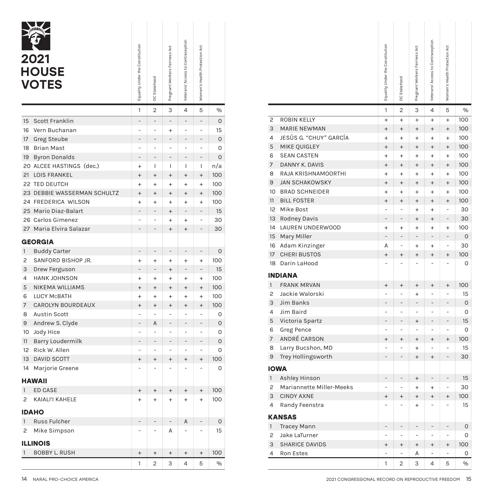|              | 2021<br><b>HOUSE</b><br><b>VOTES</b> | Equality Under the Constitution  | DC Statehood   | Pregnant Workers Fairness Act | Veterans' Access to Contraception | Women's Health Protection Act |     |
|--------------|--------------------------------------|----------------------------------|----------------|-------------------------------|-----------------------------------|-------------------------------|-----|
|              |                                      | 1                                | $\overline{2}$ | 3                             | 4                                 | 5                             | %   |
| 15           | Scott Franklin                       |                                  | -              | $\overline{a}$                | $\overline{a}$                    |                               | 0   |
| 16           | Vern Buchanan                        |                                  | $\overline{a}$ | $\ddot{}$                     | $\overline{a}$                    | $\overline{a}$                | 15  |
| 17           | <b>Greg Steube</b>                   |                                  | $\overline{a}$ | $\overline{a}$                |                                   |                               | 0   |
| 18           | Brian Mast                           | $\overline{a}$                   | $\overline{a}$ | $\overline{a}$                | $\overline{a}$                    | $\overline{a}$                | 0   |
| 19           | <b>Byron Donalds</b>                 |                                  |                |                               |                                   |                               | O   |
|              | 20 ALCEE HASTINGS (dec.)             | $\ddot{}$                        | I              | T                             | I                                 | T                             | n/a |
| 21           | LOIS FRANKEL                         | $\ddot{}$                        | $\ddot{}$      | $^{+}$                        | $\ddot{}$                         | $\ddot{}$                     | 100 |
|              | 22 TED DEUTCH                        | $\ddot{}$                        | $\ddot{}$      | $\ddot{}$                     | $\ddot{}$                         | $\ddot{}$                     | 100 |
|              | 23 DEBBIE WASSERMAN SCHULTZ          | $^{+}$                           | $^{+}$         | $\ddot{}$                     | $\ddot{}$                         | $^{+}$                        | 100 |
|              | 24 FREDERICA WILSON                  | $\ddot{}$                        | $\ddot{}$      | $\ddot{}$                     | $\ddot{}$                         | $\ddot{}$                     | 100 |
|              | 25 Mario Diaz-Balart                 |                                  | $\overline{a}$ | $^{+}$                        |                                   |                               | 15  |
|              | 26 Carlos Gimenez                    | $\overline{a}$                   | $\overline{a}$ | $\ddot{}$                     | $\ddot{}$                         | $\overline{a}$                | 30  |
| 27           | Maria Elvira Salazar                 |                                  |                | $\ddot{}$                     | $^{+}$                            |                               | 30  |
|              | <b>GEORGIA</b>                       |                                  |                |                               |                                   |                               |     |
| $\mathbf{1}$ | <b>Buddy Carter</b>                  | $\overline{a}$                   | -              | -                             | $\qquad \qquad -$                 | -                             | 0   |
| 2            | SANFORD BISHOP JR.                   | $\ddot{}$                        | $\ddot{}$      | $\ddot{}$                     | $\ddot{}$                         | $\ddot{}$                     | 100 |
| 3            | Drew Ferguson                        |                                  | $\overline{a}$ | $^{+}$                        |                                   | $\overline{a}$                | 15  |
| 4            | <b>HANK JOHNSON</b>                  | $\ddot{}$                        | $\ddot{}$      | $\ddot{}$                     | $\ddot{}$                         | $\ddot{}$                     | 100 |
| 5            | <b>NIKEMA WILLIAMS</b>               | $^{+}$                           | $^{+}$         | $^{+}$                        | $^{+}$                            | $^{+}$                        | 100 |
| 6            | LUCY McBATH                          | $\ddot{}$                        | $\ddot{}$      | $\ddot{}$                     | $\ddot{}$                         | $\ddot{}$                     | 100 |
| 7            | CAROLYN BOURDEAUX                    | $\ddot{}$                        | $^{+}$         | $\ddot{}$                     | $\ddot{}$                         | $\ddot{}$                     | 100 |
| 8            | <b>Austin Scott</b>                  |                                  |                | $\overline{a}$                |                                   |                               | 0   |
| 9            | Andrew S. Clyde                      | $\overline{a}$                   | A              | -                             | L                                 | L                             | 0   |
| 10           | Jody Hice                            |                                  | $\overline{a}$ | $\overline{a}$                |                                   | $\overline{a}$                | 0   |
| 11           | Barry Loudermilk                     |                                  | $\overline{a}$ | -                             |                                   |                               | 0   |
| 12           | Rick W. Allen                        |                                  | $\overline{a}$ |                               |                                   |                               | 0   |
| 13           | <b>DAVID SCOTT</b>                   | $\ddot{}$                        | $^{+}$         | $^{+}$                        | $\ddot{}$                         | $\ddot{}$                     | 100 |
| 14           | Marjorie Greene                      |                                  |                |                               |                                   |                               | 0   |
|              | <b>HAWAII</b>                        |                                  |                |                               |                                   |                               |     |
| $\mathbf{1}$ | <b>ED CASE</b>                       | $\ddot{}$                        | $^{+}$         | $^{+}$                        | $^{+}$                            | $^{+}$                        | 100 |
| 2            | KAIALI'I KAHELE                      | $^{+}$                           | $\ddot{}$      | $^{+}$                        | $^{+}$                            | $\ddot{}$                     | 100 |
|              | <b>IDAHO</b>                         |                                  |                |                               |                                   |                               |     |
| $\mathbf{1}$ | Russ Fulcher                         |                                  |                |                               | Α                                 |                               | 0   |
| 2            | Mike Simpson                         |                                  |                | Α                             |                                   |                               | 15  |
|              | <b>ILLINOIS</b>                      |                                  |                |                               |                                   |                               |     |
| $\mathbf{1}$ | <b>BOBBY L. RUSH</b>                 | $\begin{array}{c} + \end{array}$ | $\ddot{}$      | $^{+}$                        | $\begin{array}{c} + \end{array}$  | $^{+}$                        | 100 |
|              |                                      | 1                                | $\overline{2}$ | 3                             | $\overline{4}$                    | 5                             | %   |

|                                 |                          |                                  | Veterans' Access to Contraception |                                  |                     |
|---------------------------------|--------------------------|----------------------------------|-----------------------------------|----------------------------------|---------------------|
| Equality Under the Constitution |                          | Pregnant Workers Fairness Act    |                                   | Women's Health Protection Act    |                     |
|                                 |                          |                                  |                                   |                                  |                     |
|                                 |                          |                                  |                                   |                                  |                     |
|                                 | DC Statehood             |                                  |                                   |                                  |                     |
|                                 |                          |                                  |                                   |                                  |                     |
| 1                               | $\overline{2}$           | 3                                | 4                                 | 5                                | %                   |
| $\overline{a}$                  | $\overline{a}$           | $\overline{\phantom{a}}$         | ÷                                 | $\overline{a}$                   | $\mathsf O$         |
| $\overline{a}$                  | $\overline{a}$           | $\ddot{}$                        | $\overline{a}$                    | $\overline{a}$                   | 15                  |
| -                               | $\overline{a}$           | $\overline{a}$                   | $\overline{a}$                    | -                                | $\mathsf O$         |
| $\overline{\phantom{0}}$        | $\overline{a}$           | $\overline{a}$                   | $\overline{a}$                    | $\overline{a}$                   | 0                   |
| $\overline{a}$                  | L,                       | $\overline{a}$                   | $\overline{a}$                    | $\overline{a}$                   | $\mathbf 0$         |
| $\pmb{+}$                       | T                        | I                                | I                                 | L                                | n/a                 |
| $\ddot{}$                       | $\ddot{}$                | $^{+}$                           | $^{+}$                            | $^{+}$                           | 100                 |
| $\ddot{}$                       | $\ddot{}$                | $\ddot{}$                        | $\ddot{}$                         | $^{+}$                           | 100                 |
| $\pmb{+}$                       | $^{+}$                   | $^{+}$                           | $^{+}$                            | $\ddot{}$                        | 100                 |
| $\,{}^+$                        | $\ddot{}$                | $\ddot{}$                        | $+$                               | $\ddot{}$                        | 100                 |
| -                               | $\overline{a}$           | $^{+}$                           | $\overline{a}$                    | $\overline{\phantom{0}}$         | 15                  |
| $\overline{a}$                  | ÷                        | $\ddot{}$                        | $\begin{array}{c} + \end{array}$  | $\overline{a}$                   | 30                  |
| $\overline{a}$                  |                          | $^{+}$                           | $^{+}$                            | $\overline{a}$                   | 30                  |
|                                 |                          |                                  |                                   |                                  |                     |
| $\overline{a}$                  | $\overline{\phantom{a}}$ | $\overline{\phantom{0}}$         | $\overline{a}$                    | $\overline{\phantom{0}}$         | $\mathsf{O}\xspace$ |
| +                               | $\ddot{}$                | $\ddot{}$                        | $\ddot{}$                         | $\ddot{}$                        | 100                 |
| $\overline{\phantom{0}}$        | $\overline{a}$           | $^{+}$                           | $\overline{a}$                    | $\qquad \qquad -$                | 15                  |
| $\ddot{}$                       | $\ddot{}$                | $\ddot{}$                        | $\begin{array}{c} + \end{array}$  | $\ddot{}$                        | 100                 |
| $^{+}$                          | $^{+}$                   | $\ddot{}$                        | $^{+}$                            | $^{+}$                           | 100                 |
| +                               | $\ddot{}$                | $\ddot{}$                        | $\ddot{}$                         | $\ddot{}$                        | 100                 |
| $\pmb{+}$                       | $\ddot{}$                | $^{+}$                           | $^{+}$                            | $^{+}$                           | 100                 |
| $\overline{a}$                  | ÷                        | L,                               | $\overline{a}$                    | $\overline{a}$                   | 0                   |
| $\overline{\phantom{0}}$        | Α                        | $\qquad \qquad -$                | $\overline{a}$                    | $\overline{\phantom{0}}$         | $\mathbf 0$         |
| ÷                               | L,                       | ÷                                | $\overline{a}$                    | $\overline{a}$                   | 0                   |
| $\qquad \qquad -$               | $\overline{a}$           | $\qquad \qquad -$                | $\overline{a}$                    | $\overline{a}$                   | $\mathbf 0$         |
| $\overline{a}$                  | $\overline{a}$           | ÷                                | ÷,                                | $\overline{a}$                   | 0                   |
| $\ddot{}$                       | $^{+}$                   | $\ddot{}$                        | $^{+}$                            | $\begin{array}{c} + \end{array}$ | 100                 |
| $\overline{\phantom{0}}$        | ٠                        | $\overline{a}$                   | $\overline{a}$                    | $\overline{a}$                   | $\mathbf 0$         |
|                                 |                          |                                  |                                   |                                  |                     |
| $^{+}$                          | $^{+}$                   | $^{+}$                           | $^{\mathrm{+}}$                   | $^{\mathrm{+}}$                  | 100                 |
| $\ddot{}$                       | $\ddot{}$                | $\ddot{}$                        | $^{+}$                            | $\ddot{}$                        | 100                 |
|                                 |                          |                                  |                                   |                                  |                     |
| $\frac{1}{\sqrt{2}}$            | $\overline{\phantom{a}}$ | $\overline{\phantom{0}}$         | Α                                 | $\overline{\phantom{a}}$         | $\mathsf O$         |
| $\overline{\phantom{a}}$        | $\overline{\phantom{a}}$ | Α                                | $\overline{\phantom{a}}$          | $\overline{\phantom{a}}$         | 15                  |
|                                 |                          |                                  |                                   |                                  |                     |
|                                 |                          |                                  |                                   |                                  |                     |
| $^{+}$                          | $^{+}$                   | $\begin{array}{c} + \end{array}$ | $\begin{array}{c} + \end{array}$  | $^{+}$                           | 100                 |
| 1                               | $\overline{2}$           | $\mathsf 3$                      | $\overline{4}$                    | 5                                | $\%$                |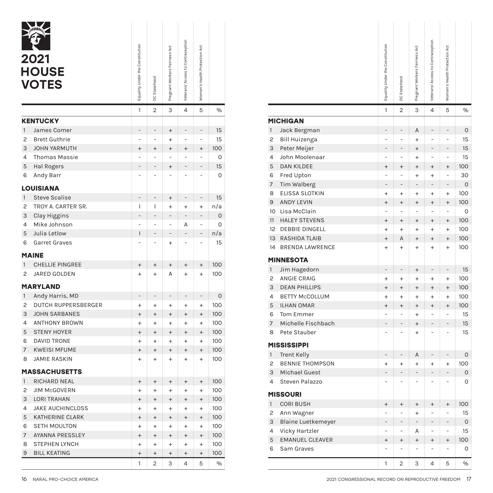|                | 2021<br><b>HOUSE</b><br><b>VOTES</b> | Equality Under the Constitution  | DC Statehood                     | Pregnant Workers Fairness Act | Veterans' Access to Contraception | Women's Health Protection Act    |     |
|----------------|--------------------------------------|----------------------------------|----------------------------------|-------------------------------|-----------------------------------|----------------------------------|-----|
|                |                                      | 1                                | $\overline{2}$                   | 3                             | 4                                 | 5                                | %   |
|                | <b>KENTUCKY</b>                      |                                  |                                  |                               |                                   |                                  |     |
| 1              | James Comer                          | -                                | -                                | $^{+}$                        | -                                 | $\qquad \qquad -$                | 15  |
| $\overline{c}$ | <b>Brett Guthrie</b>                 |                                  |                                  | $\ddot{}$                     |                                   |                                  | 15  |
| 3              | <b>JOHN YARMUTH</b>                  | $\ddot{}$                        | $\ddot{}$                        | $\ddot{}$                     | $\ddot{}$                         | $\ddot{}$                        | 100 |
| 4              | <b>Thomas Massie</b>                 |                                  | $\overline{a}$                   |                               |                                   |                                  | 0   |
| 5              | <b>Hal Rogers</b>                    |                                  |                                  | $^{+}$                        |                                   |                                  | 15  |
| 6              | Andy Barr                            |                                  |                                  |                               |                                   |                                  | 0   |
|                | <b>LOUISIANA</b>                     |                                  |                                  |                               |                                   |                                  |     |
| $\mathbf{1}$   | <b>Steve Scalise</b>                 | $\overline{a}$                   | -                                | $^{+}$                        | $\overline{a}$                    | $\overline{a}$                   | 15  |
| 2              | TROY A. CARTER SR.                   | I                                | I                                | $\ddot{}$                     | $\ddot{}$                         | $\ddot{}$                        | n/a |
| 3              | Clay Higgins                         | $\overline{a}$                   | $\overline{a}$                   | -                             | $\overline{a}$                    | $\overline{a}$                   | 0   |
| 4              | Mike Johnson                         | -                                | -                                |                               | A                                 | $\overline{a}$                   | 0   |
| 5              | Julia Letlow                         | ī                                | $\overline{a}$                   |                               |                                   |                                  | n/a |
| 6              | <b>Garret Graves</b>                 |                                  |                                  | $\ddot{}$                     |                                   |                                  | 15  |
|                |                                      |                                  |                                  |                               |                                   |                                  |     |
|                | <b>MAINE</b>                         |                                  |                                  |                               |                                   |                                  |     |
| 1              | <b>CHELLIE PINGREE</b>               | $^{+}$                           | $^{+}$                           | $^{+}$                        | $^{+}$                            | $^{+}$                           | 100 |
| 2              | JARED GOLDEN                         | $\ddot{}$                        | $\ddot{}$                        | A                             | $\ddot{}$                         | $\ddot{}$                        | 100 |
|                | <b>MARYLAND</b>                      |                                  |                                  |                               |                                   |                                  |     |
| $\mathbf{1}$   | Andy Harris, MD                      |                                  | -                                |                               |                                   | -                                | 0   |
| 2              | <b>DUTCH RUPPERSBERGER</b>           | $\ddot{}$                        | $\ddot{}$                        | $\ddot{}$                     | $\ddot{}$                         | $\ddot{}$                        | 100 |
| 3              | <b>JOHN SARBANES</b>                 | $^{+}$                           | $^{+}$                           | $\ddot{}$                     | $\ddot{}$                         | $\ddot{}$                        | 100 |
| 4              | <b>ANTHONY BROWN</b>                 | $\ddot{}$                        | $\ddot{}$                        | $\ddot{}$                     | $\ddot{}$                         | $\ddot{}$                        | 100 |
| 5              | <b>STENY HOYER</b>                   | $^{+}$                           | $^{+}$                           | $^{+}$                        | $\ddot{}$                         | $\ddot{}$                        | 100 |
| 6              | <b>DAVID TRONE</b>                   | $\ddot{}$                        | $\ddot{}$                        | $\ddot{}$                     | $\ddot{}$                         | $\ddot{}$                        | 100 |
| 7              | <b>KWEISI MFUME</b>                  | $^{+}$                           | $^{+}$                           | $\ddot{}$                     | $^{+}$                            | $^{+}$                           | 100 |
| 8              | <b>JAMIE RASKIN</b>                  | $\ddot{}$                        | $\ddot{}$                        | $\ddot{}$                     | $\ddot{}$                         | $\ddot{}$                        | 100 |
|                | <b>MASSACHUSETTS</b>                 |                                  |                                  |                               |                                   |                                  |     |
| $\mathbf{1}$   | <b>RICHARD NEAL</b>                  | $^{+}$                           | $^{+}$                           | $^{+}$                        | $^{+}$                            | $\ddot{}$                        | 100 |
| $\overline{c}$ | <b>JIM McGOVERN</b>                  | $\ddot{}$                        | $\ddot{}$                        | $\ddot{}$                     | $\ddot{}$                         | $\ddot{}$                        | 100 |
| 3              | <b>LORI TRAHAN</b>                   | $^{+}$                           | $^{+}$                           | $^{+}$                        | $^{+}$                            | $^{+}$                           | 100 |
| 4              | <b>JAKE AUCHINCLOSS</b>              | $^{+}$                           | $^{+}$                           | $+$                           | $+$                               | $\ddot{}$                        | 100 |
| 5              | <b>KATHERINE CLARK</b>               | $^{+}$                           | $^{+}$                           | $^{+}$                        | $\ddot{}$                         | $^{+}$                           | 100 |
| 6              | <b>SETH MOULTON</b>                  | $\ddot{}$                        | $\ddot{}$                        | $+$                           | $+$                               | $\ddot{}$                        | 100 |
| 7              | <b>AYANNA PRESSLEY</b>               | $^{+}$                           | $^{+}$                           | $+$                           | $\ddot{}$                         | $^{+}$                           | 100 |
| 8              | <b>STEPHEN LYNCH</b>                 | $+$                              | $^{+}$                           | $\ddot{}$                     | $^{+}$                            | $^{+}$                           | 100 |
| 9              | <b>BILL KEATING</b>                  | $\begin{array}{c} + \end{array}$ | $\begin{array}{c} + \end{array}$ | $^{+}$                        | $\ddot{}$                         | $\begin{array}{c} + \end{array}$ | 100 |
|                |                                      | 1                                | 2                                | 3                             | 4                                 | 5                                | %   |

|                                 |                                  |                                            | Veterans' Access to Contraception             |                                            |                    |
|---------------------------------|----------------------------------|--------------------------------------------|-----------------------------------------------|--------------------------------------------|--------------------|
|                                 |                                  | Pregnant Workers Fairness Act              |                                               | Women's Health Protection Act              |                    |
| Equality Under the Constitution |                                  |                                            |                                               |                                            |                    |
|                                 |                                  |                                            |                                               |                                            |                    |
|                                 | DC Statehood                     |                                            |                                               |                                            |                    |
|                                 |                                  |                                            |                                               |                                            |                    |
| 1                               | $\overline{2}$                   | 3                                          | 4                                             | 5                                          | %                  |
|                                 |                                  |                                            |                                               |                                            |                    |
| ÷                               | $\overline{a}$                   | $\begin{array}{c} + \end{array}$           | $\overline{a}$                                | $\overline{\phantom{0}}$                   | 15                 |
| $\overline{\phantom{0}}$        | L,                               | $\ddot{}$                                  | $\centerdot$                                  | $\overline{a}$                             | 15                 |
| $\ddot{}$                       | $\begin{array}{c} + \end{array}$ | $\begin{array}{c} + \end{array}$           | $\begin{array}{c} + \end{array}$              | $\begin{array}{c} + \end{array}$           | 100                |
|                                 | ÷                                | ÷                                          | $\overline{a}$                                | $\overline{a}$                             | $\circ$            |
|                                 | $\overline{a}$                   | $^{+}$                                     | $\overline{\phantom{0}}$                      | $\overline{a}$                             | 15                 |
| $\overline{\phantom{0}}$        | L,                               | L,                                         | ÷                                             | ÷,                                         | $\circ$            |
|                                 |                                  |                                            |                                               |                                            |                    |
| $\overline{a}$                  | $\overline{a}$                   | $^{+}$                                     | $\qquad \qquad -$                             | $\overline{\phantom{0}}$                   | 15                 |
| L                               | T                                | $\begin{array}{c} + \end{array}$           | $^{+}$                                        | $^{+}$                                     | n/a                |
| $\overline{\phantom{0}}$        | $\qquad \qquad -$                | $\overline{\phantom{0}}$                   | $\qquad \qquad -$                             | $\overline{\phantom{0}}$                   | $\mathbf 0$        |
| $\overline{\phantom{0}}$        | ÷                                | $\overline{\phantom{0}}$                   | Α                                             | $\overline{\phantom{0}}$                   | $\circ$            |
| I                               | ÷,                               | $\qquad \qquad -$                          | $\qquad \qquad -$                             | $\overline{\phantom{0}}$                   | n/a                |
| $\overline{\phantom{0}}$        | ÷                                | $\ddot{}$                                  | $\overline{\phantom{0}}$                      | $\overline{a}$                             | 15                 |
|                                 |                                  |                                            |                                               |                                            |                    |
| $\ddot{}$                       | $^{+}$                           | $^{+}$                                     | $^{+}$                                        | $^{+}$                                     | 100                |
| $\ddot{}$                       | $\ddot{}$                        | Α                                          | $^{+}$                                        | $^{+}$                                     | 100                |
|                                 |                                  |                                            |                                               |                                            |                    |
|                                 |                                  |                                            |                                               |                                            |                    |
| $\pmb{+}$                       | $\qquad \qquad -$                | -                                          | $\overline{\phantom{m}}$                      | $\overline{\phantom{a}}$                   | $\mathsf O$<br>100 |
|                                 | $\ddot{}$<br>$^{+}$              | $\ddot{}$<br>$\ddot{}$                     | $+$<br>$\ddot{}$                              | $^{+}$<br>$\ddot{}$                        | 100                |
|                                 | $\ddot{}$                        | $\ddot{}$                                  | $^{+}$                                        | $^{+}$                                     | 100                |
|                                 | $^{+}$                           | $^{+}$                                     | $\ddot{}$                                     | $^{+}$                                     | 100                |
| $\ddot{}$<br>$\pmb{+}$          | $\ddot{}$                        | $\ddot{}$                                  | $+$                                           | $\ddot{}$                                  | 100                |
| $\ddot{}$                       | $^{+}$                           | $\ddot{}$                                  | $\ddot{}$                                     | $\ddot{}$                                  | 100                |
| $\pmb{+}$                       | $\ddot{}$                        | $\ddot{}$                                  | $+$                                           | $^{+}$                                     | 100                |
|                                 |                                  |                                            |                                               |                                            |                    |
|                                 |                                  |                                            |                                               |                                            | 100                |
| $^{+}$                          | $^{+}$<br>$^{+}$                 | $\begin{array}{c} + \end{array}$<br>$^{+}$ | $\begin{array}{c} + \end{array}$<br>$\ddot{}$ | $\begin{array}{c} + \end{array}$<br>$^{+}$ | 100                |
| $^{+}$<br>$\ddot{}$             | $\ddot{}$                        | $^{+}$                                     | $^{+}$                                        | $^{+}$                                     | 100                |
| $^{+}$                          | $^{+}$                           | $^{+}$                                     | $^{+}$                                        | $^{+}$                                     | 100                |
| $^{+}$                          | $^{+}$                           | $\begin{array}{c} + \end{array}$           | $\begin{array}{c} + \end{array}$              | $+$                                        | 100                |
| $^{+}$                          | $\begin{array}{c} + \end{array}$ | $\begin{array}{c} + \end{array}$           | $\ddot{}$                                     | $\ddot{}$                                  | 100                |
| $^{+}$                          | $^{+}$                           | $^{+}$                                     | $\begin{array}{c} + \end{array}$              | $\begin{array}{c} + \end{array}$           | 100                |
| $^{+}$                          | $\ddot{}$                        | $\begin{array}{c} + \end{array}$           | $^{+}$                                        | $\ddot{}$                                  | 100                |
| $^{+}$                          | $\ddot{}$                        | $^{+}$                                     | $^{+}$                                        | $^{+}$                                     | 100                |
| 1                               | $\overline{2}$                   | 3                                          | 4                                             | 5                                          | $\%$               |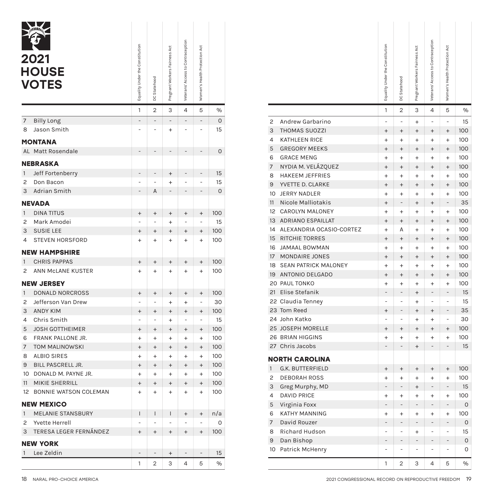|                | 2021<br><b>HOUSE</b><br><b>VOTES</b> | Equality Under the Constitution | DC Statehood   | Pregnant Workers Fairness Act | Veterans' Access to Contraception | Women's Health Protection Act    |     |
|----------------|--------------------------------------|---------------------------------|----------------|-------------------------------|-----------------------------------|----------------------------------|-----|
|                |                                      | 1                               | 2              | 3                             | 4                                 | 5                                | %   |
| $\overline{7}$ | <b>Billy Long</b>                    | $\overline{a}$                  |                |                               | $\overline{a}$                    | $\overline{a}$                   | 0   |
| 8              | Jason Smith                          | $\overline{a}$                  |                | $\ddot{}$                     | $\overline{a}$                    |                                  | 15  |
|                | <b>MONTANA</b>                       |                                 |                |                               |                                   |                                  |     |
| AL             | Matt Rosendale                       |                                 |                |                               |                                   |                                  | 0   |
|                | <b>NEBRASKA</b>                      |                                 |                |                               |                                   |                                  |     |
| $\mathbf{1}$   | Jeff Fortenberry                     | $\overline{a}$                  |                | $^{+}$                        | $\overline{a}$                    | $\overline{a}$                   | 15  |
| 2              | Don Bacon                            |                                 |                | $\ddot{}$                     |                                   |                                  | 15  |
| 3              | <b>Adrian Smith</b>                  |                                 | A              |                               | $\overline{a}$                    |                                  | 0   |
|                | <b>NEVADA</b>                        |                                 |                |                               |                                   |                                  |     |
| $\mathbf{1}$   | <b>DINA TITUS</b>                    | $^{+}$                          | $^{+}$         | $^{+}$                        | $^{+}$                            | $\ddot{}$                        | 100 |
| 2              | Mark Amodei                          |                                 |                | $\ddot{}$                     |                                   |                                  | 15  |
| 3              | <b>SUSIE LEE</b>                     | $\ddot{}$                       | $^{+}$         | $\ddot{}$                     | $\ddot{}$                         | $\ddot{}$                        | 100 |
| 4              | <b>STEVEN HORSFORD</b>               | $\ddot{}$                       | $\ddot{}$      | $\ddot{}$                     | $\ddot{}$                         | $\ddot{}$                        | 100 |
|                | <b>NEW HAMPSHIRE</b>                 |                                 |                |                               |                                   |                                  |     |
| $\mathbf{1}$   | <b>CHRIS PAPPAS</b>                  | $^{+}$                          | $^{+}$         | $\ddot{}$                     | $^{+}$                            | $\ddot{}$                        | 100 |
| 2              | ANN MCLANE KUSTER                    | $\ddot{}$                       | $\ddot{}$      | $\ddot{}$                     | $\ddot{}$                         | $\ddot{}$                        | 100 |
|                | <b>NEW JERSEY</b>                    |                                 |                |                               |                                   |                                  |     |
| $\mathbf{1}$   | <b>DONALD NORCROSS</b>               | $\ddot{}$                       | $\ddot{}$      | $\ddot{}$                     | $^{+}$                            | $^{+}$                           | 100 |
| 2              | Jefferson Van Drew                   | $\overline{a}$                  | $\overline{a}$ | $+$                           | $\ddot{}$                         | $\overline{a}$                   | 30  |
| 3              | <b>ANDY KIM</b>                      | $\ddot{}$                       | $\ddot{}$      | $\ddot{}$                     | $\ddot{}$                         | $\ddot{}$                        | 100 |
| 4              | Chris Smith                          | $\overline{a}$                  | $\overline{a}$ | $\ddot{}$                     | $\overline{a}$                    | $\overline{a}$                   | 15  |
| 5              | <b>JOSH GOTTHEIMER</b>               | $^{+}$                          | $\ddot{}$      | $\ddot{}$                     | $\ddot{}$                         | $^{+}$                           | 100 |
| 6              | FRANK PALLONE JR.                    | $\ddot{}$                       | $\ddot{}$      | $+$                           | $\ddot{}$                         | $\ddot{}$                        | 100 |
| $\overline{7}$ | <b>TOM MALINOWSKI</b>                | $^{+}$                          | $\ddot{}$      | $\ddot{}$                     | $\ddot{}$                         | $^{+}$                           | 100 |
| 8              | <b>ALBIO SIRES</b>                   | $\ddot{}$                       | $\ddot{}$      | $\ddot{}$                     | $\ddot{}$                         | $\ddot{}$                        | 100 |
| 9              | BILL PASCRELL JR.                    | $^{+}$                          | $\ddot{}$      | $\ddot{}$                     | $^{+}$                            | $\ddot{}$                        | 100 |
| 10             | DONALD M. PAYNE JR.                  | $\ddot{}$                       | $\ddot{}$      | $\ddot{}$                     | $\ddot{}$                         | $\ddot{}$                        | 100 |
| 11             | MIKIE SHERRILL                       | $\ddot{}$                       | $\ddot{}$      | $\ddot{}$                     | $\ddot{}$                         | $^{+}$                           | 100 |
| 12             | BONNIE WATSON COLEMAN                | $\ddot{}$                       | $\ddot{}$      | $\ddot{}$                     | $\ddot{}$                         | $\ddot{}$                        | 100 |
|                | <b>NEW MEXICO</b>                    |                                 |                |                               |                                   |                                  |     |
| $\mathbf{1}$   | <b>MELANIE STANSBURY</b>             | I                               | I              | I                             | $^{+}$                            | $^{+}$                           | n/a |
| 2              | Yvette Herrell                       |                                 |                |                               |                                   |                                  | 0   |
| 3              | TERESA LEGER FERNÁNDEZ               | $\ddot{}$                       | $^{+}$         | $^{+}$                        | $^{+}$                            | $\begin{array}{c} + \end{array}$ | 100 |
|                | <b>NEW YORK</b>                      |                                 |                |                               |                                   |                                  |     |
| $\mathbf{1}$   | Lee Zeldin                           |                                 |                | $^{+}$                        | $\overline{a}$                    |                                  | 15  |
|                |                                      | 1                               | 2              | 3                             | 4                                 | 5                                | %   |

| 4<br>5<br>3<br>%<br>$\mathbf{1}$<br>$\qquad \qquad -$<br>$\overline{a}$<br>0<br>$\overline{\phantom{0}}$<br>$\overline{c}$<br>Andrew Garbarino<br>$\overline{a}$<br>15<br>$\ddot{}$<br>$\overline{a}$<br>3<br><b>THOMAS SUOZZI</b><br>$\begin{array}{c} + \end{array}$<br>$\overline{4}$<br><b>KATHLEEN RICE</b><br>$^{+}$<br>5<br><b>GREGORY MEEKS</b><br>$\begin{array}{c} + \end{array}$<br>$\qquad \qquad -$<br>$\overline{a}$<br>$\overline{a}$<br>$\mathbf 0$<br><b>GRACE MENG</b><br>6<br>$\ddot{}$<br>$\overline{7}$<br>NYDIA M. VELÁZQUEZ<br>$\ddot{}$<br>$\frac{1}{2}$<br>$\overline{a}$<br>15<br>$^{+}$<br>8<br><b>HAKEEM JEFFRIES</b><br>$\ddot{}$<br>$\overline{a}$<br>$\overline{a}$<br>15<br>$^{+}$<br>$\overline{9}$<br>YVETTE D. CLARKE<br>$\ddot{}$<br>$\mathbf 0$<br>$\qquad \qquad -$<br>$\overline{a}$<br>$\overline{a}$<br>10 JERRY NADLER<br>$\ddot{}$<br>11<br>Nicole Malliotakis<br>$^{+}$<br>12 CAROLYN MALONEY<br>$^{+}$<br>100<br>$^{+}$<br>$\ddot{}$<br>$^{+}$<br>13<br><b>ADRIANO ESPAILLAT</b><br>$^{+}$<br>$\frac{1}{2}$<br>15<br>$\ddot{}$<br>$\overline{a}$<br>14 ALEXANDRIA OCASIO-CORTEZ<br>$^{+}$<br>100<br>$^{+}$<br>$^{+}$<br>$^{+}$<br>15 <sup>2</sup><br><b>RITCHIE TORRES</b><br>$\ddot{}$<br>100<br>$\ddot{}$<br>$\ddot{}$<br>$\ddot{}$<br>16 JAMAAL BOWMAN<br>$\ddot{}$<br>17<br>MONDAIRE JONES<br>$\begin{array}{c} + \end{array}$<br>100<br>$^{+}$<br>$^{+}$<br>$^{+}$<br>18 SEAN PATRICK MALONEY<br>$\ddot{}$<br>100<br>$\ddot{}$<br>$\ddot{}$<br>$\ddot{}$<br>19<br>ANTONIO DELGADO<br>$^{+}$<br>20 PAUL TONKO<br>$\ddot{}$<br>21<br>Elise Stefanik<br>100<br>÷<br>$^+$<br>$^{+}$<br>$\! + \!$ | $\overline{2}$<br>$\overline{a}$<br>$\ddot{}$ | 3                                |                                  | Women's Health Protection Act    |     |
|------------------------------------------------------------------------------------------------------------------------------------------------------------------------------------------------------------------------------------------------------------------------------------------------------------------------------------------------------------------------------------------------------------------------------------------------------------------------------------------------------------------------------------------------------------------------------------------------------------------------------------------------------------------------------------------------------------------------------------------------------------------------------------------------------------------------------------------------------------------------------------------------------------------------------------------------------------------------------------------------------------------------------------------------------------------------------------------------------------------------------------------------------------------------------------------------------------------------------------------------------------------------------------------------------------------------------------------------------------------------------------------------------------------------------------------------------------------------------------------------------------------------------------------------------------------------------------------------------------------------------------------------|-----------------------------------------------|----------------------------------|----------------------------------|----------------------------------|-----|
|                                                                                                                                                                                                                                                                                                                                                                                                                                                                                                                                                                                                                                                                                                                                                                                                                                                                                                                                                                                                                                                                                                                                                                                                                                                                                                                                                                                                                                                                                                                                                                                                                                                |                                               |                                  | 4                                | 5                                |     |
|                                                                                                                                                                                                                                                                                                                                                                                                                                                                                                                                                                                                                                                                                                                                                                                                                                                                                                                                                                                                                                                                                                                                                                                                                                                                                                                                                                                                                                                                                                                                                                                                                                                |                                               | $^{+}$                           | $\overline{a}$                   | $\overline{a}$                   |     |
|                                                                                                                                                                                                                                                                                                                                                                                                                                                                                                                                                                                                                                                                                                                                                                                                                                                                                                                                                                                                                                                                                                                                                                                                                                                                                                                                                                                                                                                                                                                                                                                                                                                |                                               | $\ddot{}$                        | $^{+}$                           | $^{+}$                           | 100 |
| $\overline{\phantom{m}}$<br>$\overline{a}$                                                                                                                                                                                                                                                                                                                                                                                                                                                                                                                                                                                                                                                                                                                                                                                                                                                                                                                                                                                                                                                                                                                                                                                                                                                                                                                                                                                                                                                                                                                                                                                                     | $^{+}$                                        | $^{+}$                           | $^{+}$                           | $\ddot{}$                        | 100 |
| Α<br>$\ddot{}$<br>$\overline{a}$<br>$^{+}$<br>$\ddot{}$<br>$^{+}$<br>$\ddot{}$<br>$\begin{array}{c} + \end{array}$                                                                                                                                                                                                                                                                                                                                                                                                                                                                                                                                                                                                                                                                                                                                                                                                                                                                                                                                                                                                                                                                                                                                                                                                                                                                                                                                                                                                                                                                                                                             | $\ddot{}$                                     | $\begin{array}{c} + \end{array}$ | $^{+}$                           | $\begin{array}{c} + \end{array}$ | 100 |
|                                                                                                                                                                                                                                                                                                                                                                                                                                                                                                                                                                                                                                                                                                                                                                                                                                                                                                                                                                                                                                                                                                                                                                                                                                                                                                                                                                                                                                                                                                                                                                                                                                                | $\ddot{}$                                     | $\ddot{}$                        | $^{+}$                           | $\begin{array}{c} + \end{array}$ | 100 |
|                                                                                                                                                                                                                                                                                                                                                                                                                                                                                                                                                                                                                                                                                                                                                                                                                                                                                                                                                                                                                                                                                                                                                                                                                                                                                                                                                                                                                                                                                                                                                                                                                                                | $\ddot{}$                                     | $\ddot{}$                        | $^{+}$                           | $\ddot{}$                        | 100 |
|                                                                                                                                                                                                                                                                                                                                                                                                                                                                                                                                                                                                                                                                                                                                                                                                                                                                                                                                                                                                                                                                                                                                                                                                                                                                                                                                                                                                                                                                                                                                                                                                                                                | $\ddot{}$                                     | $\ddot{}$                        | $^{+}$                           | $\ddot{}$                        | 100 |
|                                                                                                                                                                                                                                                                                                                                                                                                                                                                                                                                                                                                                                                                                                                                                                                                                                                                                                                                                                                                                                                                                                                                                                                                                                                                                                                                                                                                                                                                                                                                                                                                                                                | $\ddot{}$                                     | $\ddot{}$                        | $\ddot{}$                        | $\ddot{}$                        | 100 |
|                                                                                                                                                                                                                                                                                                                                                                                                                                                                                                                                                                                                                                                                                                                                                                                                                                                                                                                                                                                                                                                                                                                                                                                                                                                                                                                                                                                                                                                                                                                                                                                                                                                | $+$                                           | $\ddot{}$                        | $^{+}$                           | $\begin{array}{c} + \end{array}$ | 100 |
|                                                                                                                                                                                                                                                                                                                                                                                                                                                                                                                                                                                                                                                                                                                                                                                                                                                                                                                                                                                                                                                                                                                                                                                                                                                                                                                                                                                                                                                                                                                                                                                                                                                | ÷                                             | $\ddot{}$                        | $^{+}$                           | ÷                                |     |
|                                                                                                                                                                                                                                                                                                                                                                                                                                                                                                                                                                                                                                                                                                                                                                                                                                                                                                                                                                                                                                                                                                                                                                                                                                                                                                                                                                                                                                                                                                                                                                                                                                                | $^{+}$                                        | $\ddot{}$                        | $^{+}$                           | $\ddot{}$                        | 100 |
|                                                                                                                                                                                                                                                                                                                                                                                                                                                                                                                                                                                                                                                                                                                                                                                                                                                                                                                                                                                                                                                                                                                                                                                                                                                                                                                                                                                                                                                                                                                                                                                                                                                | $\ddot{}$                                     | $^{+}$                           | $^{+}$                           | $\ddot{}$                        | 100 |
|                                                                                                                                                                                                                                                                                                                                                                                                                                                                                                                                                                                                                                                                                                                                                                                                                                                                                                                                                                                                                                                                                                                                                                                                                                                                                                                                                                                                                                                                                                                                                                                                                                                | Α                                             | $\ddot{}$                        | $^{+}$                           | $\begin{array}{c} + \end{array}$ | 100 |
|                                                                                                                                                                                                                                                                                                                                                                                                                                                                                                                                                                                                                                                                                                                                                                                                                                                                                                                                                                                                                                                                                                                                                                                                                                                                                                                                                                                                                                                                                                                                                                                                                                                | $\ddot{}$                                     | $\ddot{}$                        | $^{+}$                           | $\ddot{}$                        | 100 |
|                                                                                                                                                                                                                                                                                                                                                                                                                                                                                                                                                                                                                                                                                                                                                                                                                                                                                                                                                                                                                                                                                                                                                                                                                                                                                                                                                                                                                                                                                                                                                                                                                                                | $^{+}$                                        | $^{+}$                           | $^{+}$                           | $\ddot{}$                        | 100 |
|                                                                                                                                                                                                                                                                                                                                                                                                                                                                                                                                                                                                                                                                                                                                                                                                                                                                                                                                                                                                                                                                                                                                                                                                                                                                                                                                                                                                                                                                                                                                                                                                                                                | $\ddot{}$                                     | $\begin{array}{c} + \end{array}$ | $^{+}$                           | $\ddot{}$                        | 100 |
|                                                                                                                                                                                                                                                                                                                                                                                                                                                                                                                                                                                                                                                                                                                                                                                                                                                                                                                                                                                                                                                                                                                                                                                                                                                                                                                                                                                                                                                                                                                                                                                                                                                | $\ddot{}$                                     | $\ddot{}$                        | $^{+}$                           | $\begin{array}{c} + \end{array}$ | 100 |
|                                                                                                                                                                                                                                                                                                                                                                                                                                                                                                                                                                                                                                                                                                                                                                                                                                                                                                                                                                                                                                                                                                                                                                                                                                                                                                                                                                                                                                                                                                                                                                                                                                                | $\begin{array}{c} + \end{array}$              | $\begin{array}{c} + \end{array}$ | $\begin{array}{c} + \end{array}$ | $\ddot{}$                        | 100 |
|                                                                                                                                                                                                                                                                                                                                                                                                                                                                                                                                                                                                                                                                                                                                                                                                                                                                                                                                                                                                                                                                                                                                                                                                                                                                                                                                                                                                                                                                                                                                                                                                                                                | $\ddot{}$                                     | $^{+}$                           | $^{+}$                           | $\ddot{}$                        | 100 |
|                                                                                                                                                                                                                                                                                                                                                                                                                                                                                                                                                                                                                                                                                                                                                                                                                                                                                                                                                                                                                                                                                                                                                                                                                                                                                                                                                                                                                                                                                                                                                                                                                                                | ÷                                             | $^{+}$                           | $\overline{a}$                   | $\overline{\phantom{0}}$         |     |
| 22 Claudia Tenney<br>30<br>$\overline{\phantom{m}}$<br>$\ddot{}$<br>$^{+}$<br>$\overline{a}$<br>$\overline{\phantom{m}}$                                                                                                                                                                                                                                                                                                                                                                                                                                                                                                                                                                                                                                                                                                                                                                                                                                                                                                                                                                                                                                                                                                                                                                                                                                                                                                                                                                                                                                                                                                                       | $\overline{\phantom{m}}$                      | $\ddot{}$                        | $\overline{a}$                   | ÷                                |     |
| 23 Tom Reed<br>100<br>$\begin{array}{c} + \end{array}$<br>$\! + \!$<br>$^{\mathrm{+}}$<br>$\begin{array}{c} + \end{array}$                                                                                                                                                                                                                                                                                                                                                                                                                                                                                                                                                                                                                                                                                                                                                                                                                                                                                                                                                                                                                                                                                                                                                                                                                                                                                                                                                                                                                                                                                                                     | ÷                                             | $^{+}$                           | $\begin{array}{c} + \end{array}$ | ÷                                |     |
| $^{+}$<br>24 John Katko<br>15<br>$\overline{a}$<br>$\overline{a}$<br>$^{+}$<br>$\overline{a}$<br>$\overline{\phantom{m}}$                                                                                                                                                                                                                                                                                                                                                                                                                                                                                                                                                                                                                                                                                                                                                                                                                                                                                                                                                                                                                                                                                                                                                                                                                                                                                                                                                                                                                                                                                                                      | $\overline{a}$                                | $\ddot{}$                        | $^{+}$                           | ÷                                |     |
| 25 JOSEPH MORELLE<br>100<br>$\begin{array}{c} + \end{array}$<br>$\! + \!\!\!\!$                                                                                                                                                                                                                                                                                                                                                                                                                                                                                                                                                                                                                                                                                                                                                                                                                                                                                                                                                                                                                                                                                                                                                                                                                                                                                                                                                                                                                                                                                                                                                                | $\begin{array}{c} + \end{array}$              | $\begin{array}{c} + \end{array}$ | $\begin{array}{c} + \end{array}$ | $\begin{array}{c} + \end{array}$ | 100 |
| $\begin{array}{c} + \end{array}$<br>$^{+}$<br>$\! + \!\!\!\!$<br>26 BRIAN HIGGINS<br>100<br>$\ddot{}$                                                                                                                                                                                                                                                                                                                                                                                                                                                                                                                                                                                                                                                                                                                                                                                                                                                                                                                                                                                                                                                                                                                                                                                                                                                                                                                                                                                                                                                                                                                                          | $\ddot{}$                                     | $\ddot{}$                        | $^{+}$                           | $^{+}$                           | 100 |
| $\ddot{}$<br>$+$<br>$\ddot{}$<br>$\ddot{}$<br>27 Chris Jacobs<br>100                                                                                                                                                                                                                                                                                                                                                                                                                                                                                                                                                                                                                                                                                                                                                                                                                                                                                                                                                                                                                                                                                                                                                                                                                                                                                                                                                                                                                                                                                                                                                                           | $\overline{a}$                                | $\ddot{}$                        | L,                               | ÷                                |     |
| $\! + \!$<br>$^{\mathrm{+}}$<br>$\begin{array}{c} + \end{array}$<br>$^{+}$<br>100                                                                                                                                                                                                                                                                                                                                                                                                                                                                                                                                                                                                                                                                                                                                                                                                                                                                                                                                                                                                                                                                                                                                                                                                                                                                                                                                                                                                                                                                                                                                                              |                                               |                                  |                                  |                                  |     |
| $^{+}$<br>$\ddot{}$<br>$+$<br>$\ddot{}$<br><b>NORTH CAROLINA</b><br>100                                                                                                                                                                                                                                                                                                                                                                                                                                                                                                                                                                                                                                                                                                                                                                                                                                                                                                                                                                                                                                                                                                                                                                                                                                                                                                                                                                                                                                                                                                                                                                        |                                               |                                  |                                  |                                  |     |
| $\! + \!$<br>$^{\mathrm{+}}$<br>$\begin{array}{c} + \end{array}$<br>$^{+}$<br><b>G.K. BUTTERFIELD</b><br>$\mathbf{1}$<br>$^{+}$                                                                                                                                                                                                                                                                                                                                                                                                                                                                                                                                                                                                                                                                                                                                                                                                                                                                                                                                                                                                                                                                                                                                                                                                                                                                                                                                                                                                                                                                                                                | $\begin{array}{c} + \end{array}$              | $^{+}$                           | $^{+}$                           | $^{+}$                           | 100 |
| 100<br>$\ddot{}$<br>$+$<br>$\ddot{}$<br>$\ddot{}$<br>$\overline{c}$<br><b>DEBORAH ROSS</b><br>$^{+}$                                                                                                                                                                                                                                                                                                                                                                                                                                                                                                                                                                                                                                                                                                                                                                                                                                                                                                                                                                                                                                                                                                                                                                                                                                                                                                                                                                                                                                                                                                                                           | $\ddot{}$                                     | $\ddot{}$                        | $\ddot{}$                        | $\ddot{}$                        | 100 |
| 100<br>$^{+}$<br>$^{+}$<br>$^{+}$<br>$^{+}$<br>3<br>Greg Murphy, MD<br>$\overline{a}$                                                                                                                                                                                                                                                                                                                                                                                                                                                                                                                                                                                                                                                                                                                                                                                                                                                                                                                                                                                                                                                                                                                                                                                                                                                                                                                                                                                                                                                                                                                                                          | $\overline{a}$                                | $\ddot{}$                        | L,                               | $\overline{a}$                   |     |
| 100<br>$^{+}$<br>$^{+}$<br>$\ddot{}$<br>$\ddot{}$<br><b>DAVID PRICE</b><br>4<br>$^{+}$                                                                                                                                                                                                                                                                                                                                                                                                                                                                                                                                                                                                                                                                                                                                                                                                                                                                                                                                                                                                                                                                                                                                                                                                                                                                                                                                                                                                                                                                                                                                                         | $^{+}$                                        | $\ddot{}$                        | $\ddot{}$                        | $\ddot{}$                        | 100 |
| 5<br>Virginia Foxx<br>$\overline{a}$                                                                                                                                                                                                                                                                                                                                                                                                                                                                                                                                                                                                                                                                                                                                                                                                                                                                                                                                                                                                                                                                                                                                                                                                                                                                                                                                                                                                                                                                                                                                                                                                           | $\overline{a}$                                | $\overline{a}$                   | L,                               | $\overline{a}$                   |     |
| n/a<br>6<br><b>KATHY MANNING</b><br>L<br>$\qquad \qquad +$<br>$\! + \!\!\!\!$<br>$^{+}$<br>ı                                                                                                                                                                                                                                                                                                                                                                                                                                                                                                                                                                                                                                                                                                                                                                                                                                                                                                                                                                                                                                                                                                                                                                                                                                                                                                                                                                                                                                                                                                                                                   | $^{+}$                                        | $^{+}$                           | $\ddot{}$                        | $\ddot{}$                        | 100 |
| $\overline{7}$<br>$\mathbf 0$<br>David Rouzer<br>L,<br>$\overline{a}$<br>L,<br>$\overline{a}$                                                                                                                                                                                                                                                                                                                                                                                                                                                                                                                                                                                                                                                                                                                                                                                                                                                                                                                                                                                                                                                                                                                                                                                                                                                                                                                                                                                                                                                                                                                                                  | $\overline{a}$                                | $\overline{a}$                   | $\overline{a}$                   | $\overline{a}$                   |     |
| 100<br>8<br>Richard Hudson<br>$^{+}$<br>$\qquad \qquad +$<br>$\! + \!\!\!\!$<br>$\overline{a}$<br>$\ddot{}$                                                                                                                                                                                                                                                                                                                                                                                                                                                                                                                                                                                                                                                                                                                                                                                                                                                                                                                                                                                                                                                                                                                                                                                                                                                                                                                                                                                                                                                                                                                                    | $\overline{a}$                                | $\ddot{}$                        | L,                               | $\overline{a}$                   |     |
| $\mathsf 9$<br>Dan Bishop<br>$\overline{a}$                                                                                                                                                                                                                                                                                                                                                                                                                                                                                                                                                                                                                                                                                                                                                                                                                                                                                                                                                                                                                                                                                                                                                                                                                                                                                                                                                                                                                                                                                                                                                                                                    | $\overline{a}$                                | $\overline{a}$                   | L,                               | $\overline{a}$                   |     |
| Patrick McHenry<br>10<br>$\overline{a}$<br>15<br>$\ddot{}$<br>$\overline{a}$<br>$\overline{a}$                                                                                                                                                                                                                                                                                                                                                                                                                                                                                                                                                                                                                                                                                                                                                                                                                                                                                                                                                                                                                                                                                                                                                                                                                                                                                                                                                                                                                                                                                                                                                 | $\overline{a}$                                | $\overline{\phantom{a}}$         | L,                               | ÷,                               |     |
| $\overline{2}$<br>3<br>4<br>5<br>%<br>1                                                                                                                                                                                                                                                                                                                                                                                                                                                                                                                                                                                                                                                                                                                                                                                                                                                                                                                                                                                                                                                                                                                                                                                                                                                                                                                                                                                                                                                                                                                                                                                                        |                                               | 3                                | 4                                |                                  |     |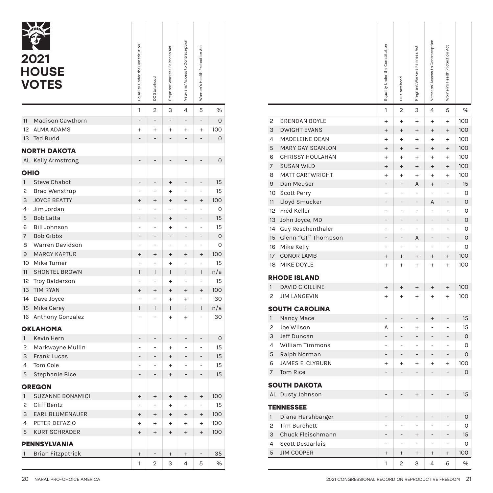|                | 2021<br><b>HOUSE</b><br><b>VOTES</b> | Equality Under the Constitution | DC Statehood             | Pregnant Workers Fairness Act    | Veterans' Access to Contraception | Women's Health Protection Act |             |  |  |  |
|----------------|--------------------------------------|---------------------------------|--------------------------|----------------------------------|-----------------------------------|-------------------------------|-------------|--|--|--|
|                |                                      | 1                               | 2                        | 3                                | 4                                 | 5                             | %           |  |  |  |
| 11             | <b>Madison Cawthorn</b>              | $\overline{a}$                  | $\overline{a}$           |                                  |                                   |                               | 0           |  |  |  |
| 12             | <b>ALMA ADAMS</b>                    | $\ddot{}$                       | $\ddot{}$                | $\ddot{}$                        | $\ddot{}$                         | $\ddot{}$                     | 100         |  |  |  |
| 13             | <b>Ted Budd</b>                      | $\overline{a}$                  | $\overline{a}$           |                                  |                                   |                               | 0           |  |  |  |
|                | <b>NORTH DAKOTA</b>                  |                                 |                          |                                  |                                   |                               |             |  |  |  |
|                | AL Kelly Armstrong                   |                                 |                          |                                  |                                   |                               | 0           |  |  |  |
|                | <b>OHIO</b>                          |                                 |                          |                                  |                                   |                               |             |  |  |  |
| $\mathbf{1}$   | <b>Steve Chabot</b>                  | $\overline{a}$                  | -                        | $^{+}$                           |                                   |                               | 15          |  |  |  |
| 2              | <b>Brad Wenstrup</b>                 |                                 | $\overline{a}$           | $\ddot{}$                        |                                   |                               | 15          |  |  |  |
| 3              | <b>JOYCE BEATTY</b>                  | $\ddot{}$                       | $\ddot{}$                | $\ddot{}$                        | $\ddot{}$                         | $\ddot{}$                     | 100         |  |  |  |
| 4              | Jim Jordan                           | $\overline{a}$                  | $\overline{a}$           |                                  |                                   |                               | 0           |  |  |  |
| 5              | <b>Bob Latta</b>                     |                                 |                          | $\ddot{}$                        |                                   |                               | 15          |  |  |  |
| 6              | <b>Bill Johnson</b>                  | $\overline{a}$                  | $\overline{a}$           | $\ddot{}$                        |                                   | $\overline{a}$                | 15          |  |  |  |
| $\overline{7}$ | <b>Bob Gibbs</b>                     | $\overline{a}$                  | $\overline{a}$           |                                  |                                   | $\overline{a}$                | $\mathbf 0$ |  |  |  |
| 8              | Warren Davidson                      | $\overline{a}$                  | $\overline{a}$           | $\overline{a}$                   | $\overline{a}$                    |                               | 0           |  |  |  |
| 9              | <b>MARCY KAPTUR</b>                  | $^{+}$                          | $^{+}$                   | $^{+}$                           | $\ddot{}$                         | $^{+}$                        | 100         |  |  |  |
| 10             | Mike Turner                          |                                 | $\overline{a}$           | $\ddot{}$                        |                                   |                               | 15          |  |  |  |
| 11             | <b>SHONTEL BROWN</b>                 | Ī                               | I                        | I                                | I                                 | T                             | n/a         |  |  |  |
| 12             | <b>Troy Balderson</b>                | $\overline{a}$                  | $\overline{a}$           | $\ddot{}$                        |                                   |                               | 15          |  |  |  |
| 13             | <b>TIM RYAN</b>                      | $^{+}$                          | $^{+}$                   | $^{+}$                           | $^{+}$                            | $\ddot{}$                     | 100         |  |  |  |
| 14             | Dave Joyce                           | l,                              | $\overline{a}$           | $\ddot{}$                        | $\ddot{}$                         |                               | 30          |  |  |  |
| 15             | Mike Carey                           | Ī                               | I                        | T                                | I                                 | I                             | n/a         |  |  |  |
| 16             | Anthony Gonzalez                     |                                 |                          | $\ddot{}$                        | $\ddot{}$                         |                               | 30          |  |  |  |
|                | <b>OKLAHOMA</b>                      |                                 |                          |                                  |                                   |                               |             |  |  |  |
| $\mathbf{1}$   | Kevin Hern                           | $\overline{a}$                  | $\overline{a}$           | $\overline{a}$                   | $\overline{a}$                    | $\overline{a}$                | 0           |  |  |  |
| 2              | Markwayne Mullin                     |                                 | -                        | $\ddot{}$                        | -                                 |                               | 15          |  |  |  |
| 3              | <b>Frank Lucas</b>                   |                                 | -                        | $^{+}$                           |                                   | $\overline{a}$                | 15          |  |  |  |
| 4              | Tom Cole                             |                                 | -                        | $\ddot{}$                        |                                   |                               | 15          |  |  |  |
| 5              | Stephanie Bice                       | -                               | -                        | $\ddot{}$                        | -                                 | -                             | 15          |  |  |  |
| <b>OREGON</b>  |                                      |                                 |                          |                                  |                                   |                               |             |  |  |  |
| $\mathbf{1}$   | <b>SUZANNE BONAMICI</b>              | $\ddot{}$                       | $\ddot{}$                | $^{+}$                           | $\ddot{}$                         | $\ddot{}$                     | 100         |  |  |  |
| 2              | Cliff Bentz                          | $\overline{a}$                  | $\overline{\phantom{0}}$ | $\ddot{}$                        | $\overline{a}$                    | $\overline{a}$                | 15          |  |  |  |
| 3              | EARL BLUMENAUER                      | $^{+}$                          | $^{+}$                   | $^{+}$                           | $\ddot{}$                         | $^{+}$                        | 100         |  |  |  |
| 4              | PETER DEFAZIO                        | $^{+}$                          | $\ddot{}$                | $+$                              | $^{+}$                            | $^{+}$                        | 100         |  |  |  |
| 5              | <b>KURT SCHRADER</b>                 | $^{+}$                          | $^{+}$                   | $\begin{array}{c} + \end{array}$ | $\begin{array}{c} + \end{array}$  | $^{+}$                        | 100         |  |  |  |
| PENNSYLVANIA   |                                      |                                 |                          |                                  |                                   |                               |             |  |  |  |
| $\mathbf{1}$   | <b>Brian Fitzpatrick</b>             | $^{+}$                          | -                        | $^{+}$                           | $\begin{array}{c} + \end{array}$  | $\overline{\phantom{0}}$      | 35          |  |  |  |
|                |                                      | 1                               | $\overline{2}$           | 3                                | 4                                 | 5                             | %           |  |  |  |

|                                 |                                  |                                  | Veterans' Access to Contraception |                                  |             |
|---------------------------------|----------------------------------|----------------------------------|-----------------------------------|----------------------------------|-------------|
| Equality Under the Constitution |                                  | Pregnant Workers Fairness Act    |                                   | Women's Health Protection Act    |             |
|                                 |                                  |                                  |                                   |                                  |             |
|                                 |                                  |                                  |                                   |                                  |             |
|                                 | DC Statehood                     |                                  |                                   |                                  |             |
|                                 |                                  |                                  |                                   |                                  |             |
| 1                               | 2                                | 3                                | 4                                 | 5                                | %           |
| $\overline{a}$                  | $\qquad \qquad -$                | $\overline{\phantom{m}}$         | ÷,                                | $\overline{\phantom{0}}$         | O           |
| $\pmb{+}$                       | $\ddot{}$                        | $\ddot{}$                        | $\begin{array}{c} + \end{array}$  | $\ddot{}$                        | 100         |
| $\overline{\phantom{0}}$        | ÷,                               | $\overline{\phantom{0}}$         | $\qquad \qquad -$                 | $\overline{\phantom{0}}$         | 0           |
|                                 |                                  |                                  |                                   |                                  |             |
| $\qquad \qquad \blacksquare$    | $\overline{\phantom{a}}$         | $\overline{\phantom{0}}$         | $\overline{a}$                    | $\overline{\phantom{0}}$         | 0           |
|                                 |                                  |                                  |                                   |                                  |             |
| $\overline{\phantom{0}}$        | $\overline{a}$                   |                                  | $\overline{a}$                    | $\overline{\phantom{0}}$         | 15          |
| $\overline{\phantom{0}}$        | $\overline{a}$                   | $^{+}$<br>$\ddot{}$              | $\overline{\phantom{0}}$          | $\overline{\phantom{0}}$         | 15          |
| $\ddot{}$                       | $^{+}$                           | $^{+}$                           | $\begin{array}{c} + \end{array}$  | $^{+}$                           | 100         |
| $\overline{\phantom{0}}$        | $\overline{a}$                   | $\overline{\phantom{0}}$         | $\overline{\phantom{0}}$          | $\overline{\phantom{0}}$         | 0           |
| -                               |                                  | $^{+}$                           | $\overline{\phantom{0}}$          | $\overline{\phantom{0}}$         | 15          |
| $\overline{\phantom{0}}$        | $\qquad \qquad \blacksquare$     | $\ddot{}$                        | $\overline{\phantom{0}}$          | $\overline{\phantom{0}}$         | 15          |
| -                               | $\qquad \qquad -$                | $\overline{\phantom{0}}$         | $\overline{\phantom{0}}$          | $\overline{\phantom{0}}$         | $\mathbf 0$ |
| $\overline{\phantom{0}}$        | $\qquad \qquad \blacksquare$     | $\overline{\phantom{0}}$         | $\overline{\phantom{0}}$          | $\overline{\phantom{0}}$         | 0           |
| $\ddot{}$                       | $^{+}$                           | $^{+}$                           | $\begin{array}{c} + \end{array}$  | $\ddot{}$                        | 100         |
| $\overline{\phantom{0}}$        | $\overline{a}$                   | $\ddot{}$                        | $\overline{a}$                    | $\overline{a}$                   | 15          |
| L                               | $\mathbf{I}$                     | L                                | T                                 | L                                | n/a         |
| $\overline{\phantom{0}}$        | $\overline{a}$                   | $\ddot{}$                        | $\overline{\phantom{0}}$          | $\overline{\phantom{0}}$         | 15          |
| $\ddot{}$                       | $^{+}$                           | $^{+}$                           | $\begin{array}{c} + \end{array}$  | $^{+}$                           | 100         |
| $\overline{\phantom{0}}$        | $\overline{a}$                   | $\ddot{}$                        | $\begin{array}{c} + \end{array}$  | $\overline{\phantom{0}}$         | 30          |
| L                               | $\overline{1}$                   | L                                | T                                 | L                                | n/a         |
| $\overline{\phantom{0}}$        | $\overline{a}$                   | $^{+}$                           | $\ddot{}$                         | -                                | 30          |
|                                 |                                  |                                  |                                   |                                  |             |
| -                               | $\overline{a}$                   | $\overline{\phantom{0}}$         | $\overline{a}$                    | $\overline{\phantom{0}}$         | $\mathsf O$ |
| $\overline{\phantom{0}}$        | ÷                                | $\ddot{}$                        | ÷                                 | $\overline{a}$                   | 15          |
| -                               | L                                | $^{+}$                           | $\overline{\phantom{0}}$          | $\overline{a}$                   | 15          |
| $\overline{\phantom{0}}$        | Ĭ.                               | $\ddot{}$                        | i,                                | $\overline{a}$                   | 15          |
| -                               | $\overline{a}$                   | $\ddot{}$                        | $\overline{\phantom{0}}$          | -                                | 15          |
|                                 |                                  |                                  |                                   |                                  |             |
| $^{+}$                          | $^{+}$                           | $^{+}$                           | $\begin{array}{c} + \end{array}$  | $\begin{array}{c} + \end{array}$ | 100         |
| -                               |                                  | $\ddot{}$                        | $\overline{\phantom{0}}$          | $\overline{\phantom{0}}$         | 15          |
| $^{+}$                          | $^{+}$                           | $^{+}$                           | $\begin{array}{c} + \end{array}$  | $^{+}$                           | 100         |
| $\pmb{+}$                       | $+$                              | $+$                              | $^{+}$                            | $+$                              | 100         |
| $^{+}$                          | $\begin{array}{c} + \end{array}$ | $^{+}$                           | $\begin{array}{c} + \end{array}$  | $\ddot{}$                        | 100         |
|                                 |                                  |                                  |                                   |                                  |             |
| $^+$                            |                                  | $\begin{array}{c} + \end{array}$ | $\! + \!\!\!\!$                   | $\overline{\phantom{a}}$         | 35          |
| 1                               | $\mathbf{2}$                     | 3                                | $\overline{4}$                    | 5                                | $\%$        |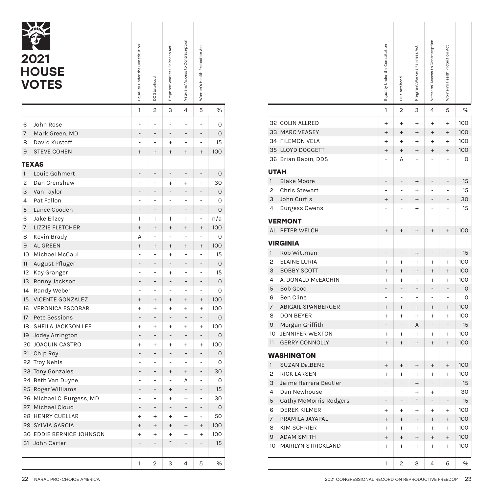|              | 2021<br><b>HOUSE</b><br><b>VOTES</b> | Equality Under the Constitution | DC Statehood             | Pregnant Workers Fairness Act | Veterans' Access to Contraception | Women's Health Protection Act |             |
|--------------|--------------------------------------|---------------------------------|--------------------------|-------------------------------|-----------------------------------|-------------------------------|-------------|
|              |                                      | 1                               | 2                        | 3                             | 4                                 | 5                             | %           |
| 6            | John Rose                            | ÷                               | ÷                        | ÷                             | -                                 |                               | 0           |
| 7            | Mark Green, MD                       | $\overline{\phantom{0}}$        | $\overline{\phantom{0}}$ | $\overline{\phantom{0}}$      | -                                 | -                             | 0           |
| 8            | David Kustoff                        | L                               | $\overline{a}$           | $\ddot{}$                     | $\overline{a}$                    | $\overline{a}$                | 15          |
| 9            | <b>STEVE COHEN</b>                   | $^{+}$                          | $^{+}$                   | $^{+}$                        | $^{+}$                            | $^{+}$                        | 100         |
|              | TEXAS                                |                                 |                          |                               |                                   |                               |             |
| $\mathbf{1}$ | Louie Gohmert                        | -                               | -                        | -                             | -                                 | -                             | $\mathsf O$ |
| 2            | Dan Crenshaw                         | $\overline{a}$                  | $\overline{a}$           | $\ddot{}$                     | $\ddot{}$                         | $\overline{a}$                | 30          |
| 3            | Van Taylor                           | $\overline{a}$                  | -                        |                               | $\overline{a}$                    | -                             | 0           |
| 4            | Pat Fallon                           | $\overline{a}$                  | $\overline{a}$           | $\overline{a}$                | $\overline{a}$                    | $\overline{a}$                | 0           |
| 5            | Lance Gooden                         | L                               | -                        |                               |                                   |                               | 0           |
| 6            | Jake Ellzey                          | $\overline{1}$                  | I                        | I                             | I                                 | ÷                             | n/a         |
| 7            | LIZZIE FLETCHER                      | $^{+}$                          | $^{+}$                   | $^{+}$                        | $^{+}$                            | $^{+}$                        | 100         |
| 8            | Kevin Brady                          | A                               | $\overline{a}$           | L,                            | $\overline{a}$                    | L,                            | 0           |
| 9            | AL GREEN                             | $^{+}$                          | $\ddot{}$                | $\ddot{}$                     | $^{+}$                            | $^{+}$                        | 100         |
| 10           | Michael McCaul                       | L,                              | $\overline{a}$           | $\ddot{}$                     | $\overline{a}$                    | $\overline{a}$                | 15          |
| 11           | August Pfluger                       | $\overline{a}$                  | -                        |                               | -                                 | -                             | 0           |
| 12           | Kay Granger                          | $\overline{a}$                  | $\overline{a}$           | $\ddot{}$                     | $\overline{a}$                    | ÷,                            | 15          |
| 13           | Ronny Jackson                        |                                 | ŧ                        |                               |                                   |                               | 0           |
| 14           | Randy Weber                          | $\overline{a}$                  | $\overline{a}$           | $\overline{a}$                | $\overline{a}$                    | $\overline{a}$                | 0           |
| 15           | <b>VICENTE GONZALEZ</b>              | $^{+}$                          | $^{+}$                   | $^{+}$                        | $^{+}$                            | $^{+}$                        | 100         |
| 16           | <b>VERONICA ESCOBAR</b>              | $\ddot{}$                       | $\ddot{}$                | $\ddot{}$                     | $\ddot{}$                         | $\ddot{}$                     | 100         |
| 17           | <b>Pete Sessions</b>                 | -                               | $\overline{\phantom{0}}$ |                               |                                   | $\qquad \qquad -$             | 0           |
| 18           | SHEILA JACKSON LEE                   | $\ddot{}$                       | $\ddot{}$                | $\ddot{}$                     | $\ddot{}$                         | $\ddot{}$                     | 100         |
| 19           | Jodey Arrington                      | $\overline{a}$                  | $\overline{a}$           |                               | $\overline{a}$                    | $\overline{a}$                | 0           |
|              | 20 JOAQUIN CASTRO                    | $\ddot{}$                       | $\ddot{}$                | $\ddot{}$                     | $\ddot{}$                         | $\ddot{}$                     | 100         |
| 21           | Chip Roy                             | $\overline{a}$                  | $\overline{a}$           |                               |                                   |                               | 0           |
|              | 22 Troy Nehls                        | $\overline{a}$                  | $\overline{a}$           | -                             | $\overline{a}$                    | $\overline{a}$                | 0           |
| 23           | <b>Tony Gonzales</b>                 | $\overline{a}$                  | $\overline{a}$           | $^{+}$                        | $^{+}$                            |                               | 30          |
|              | 24 Beth Van Duyne                    | $\overline{a}$                  | $\overline{a}$           | ÷                             | А                                 | $\overline{a}$                | 0           |
|              | 25 Roger Williams                    |                                 |                          | $\ddot{}$                     |                                   |                               | 15          |
| 26           | Michael C. Burgess, MD               |                                 | L                        | $\ddot{}$                     | $\ddot{}$                         |                               | 30          |
|              | 27 Michael Cloud                     | $\overline{\phantom{0}}$        | -                        |                               | -                                 |                               | 0           |
|              | 28 HENRY CUELLAR                     | $+$                             | $+$                      | $+$                           | $\ddot{}$                         | $\overline{a}$                | 50          |
|              | 29 SYLVIA GARCIA                     | $\ddot{}$                       | $\ddot{}$                | $^{+}$                        | $^{+}$                            | $^{+}$                        | 100         |
|              | 30 EDDIE BERNICE JOHNSON             | $+$                             | $+$                      | $\ddot{}$                     | $\ddot{}$                         | $+$                           | 100         |
|              | 31 John Carter                       | $\overline{a}$                  | $\overline{a}$           | $\star$                       |                                   | $\overline{a}$                | 15          |
|              |                                      |                                 |                          |                               |                                   |                               |             |
|              |                                      | 1                               | 2                        | 3                             | 4                                 | 5                             | %           |

| Equality Under the Constitution |                                                      | Pregnant Workers Fairness Act      | Veterans' Access to Contraception          | Women's Health Protection Act                        |                    |
|---------------------------------|------------------------------------------------------|------------------------------------|--------------------------------------------|------------------------------------------------------|--------------------|
|                                 |                                                      |                                    |                                            |                                                      |                    |
|                                 |                                                      |                                    |                                            |                                                      |                    |
|                                 | DC Statehood                                         |                                    |                                            |                                                      |                    |
|                                 |                                                      |                                    |                                            |                                                      |                    |
| 1                               | $\overline{2}$                                       | 3                                  | 4                                          | 5                                                    | $\%$               |
| $\overline{\phantom{0}}$        |                                                      | ÷                                  | L,                                         | $\overline{a}$                                       | 0                  |
| -                               | $\overline{a}$                                       | $\overline{\phantom{0}}$           | $\overline{\phantom{0}}$                   | $\overline{\phantom{0}}$                             | 0                  |
| $\overline{a}$                  | ÷,                                                   | $\ddot{}$                          | ÷                                          | ÷                                                    | 15                 |
| $\ddot{}$                       | $^{+}$                                               | $^{+}$                             | $^{+}$                                     | $\ddot{}$                                            | 100                |
|                                 |                                                      |                                    |                                            |                                                      |                    |
| -                               | $\overline{a}$                                       | $\qquad \qquad -$                  | $\qquad \qquad -$                          | $\overline{\phantom{0}}$                             | $\mathsf{O}$       |
| $\overline{\phantom{0}}$        | $\overline{a}$                                       | $\ddot{}$                          | $\ddot{}$                                  | $\overline{a}$                                       | 30                 |
| $\overline{a}$                  | $\overline{a}$                                       | $\overline{\phantom{m}}$           | $\overline{\phantom{m}}$                   | $\overline{a}$                                       | $\mathsf O$        |
| $\overline{a}$                  | $\overline{a}$                                       | $\overline{a}$                     | $\overline{a}$                             | $\overline{a}$                                       | 0                  |
| $\overline{a}$                  |                                                      | ÷,                                 | $\overline{a}$                             | $\overline{a}$                                       | $\mathbf 0$        |
| L                               | T                                                    | T                                  | T                                          | $\overline{\phantom{a}}$                             | n/a                |
| $\ddot{}$                       | $^{+}$                                               | $^{+}$                             | $\ddot{}$                                  | $\begin{array}{c} + \end{array}$                     | 100                |
| А                               | $\overline{a}$                                       | $\overline{a}$                     | $\overline{a}$                             | $\overline{a}$                                       | $\mathbf 0$        |
| $\pmb{+}$                       | $\pmb{+}$                                            | $^{+}$                             | $^{+}$                                     | $\ddot{}$                                            | 100                |
| ÷                               | $\overline{a}$<br>$\overline{\phantom{a}}$           | $\ddot{}$<br>$\qquad \qquad -$     | $\overline{a}$<br>$\overline{\phantom{m}}$ | ÷<br>$\overline{\phantom{0}}$                        | 15                 |
| -<br>$\overline{\phantom{0}}$   | $\overline{\phantom{a}}$                             |                                    | $\overline{a}$                             | $\overline{a}$                                       | $\mathsf{O}$<br>15 |
| $\overline{a}$                  |                                                      | $\ddot{}$<br>$\qquad \qquad -$     | $\qquad \qquad -$                          | $\overline{a}$                                       | 0                  |
| $\overline{a}$                  | $\overline{a}$                                       | $\overline{a}$                     | $\overline{a}$                             | $\overline{a}$                                       | $\mathbf 0$        |
| $\ddot{}$                       | $^{+}$                                               | $\ddot{}$                          | $\ddot{}$                                  | $\ddot{}$                                            | 100                |
| $\ddot{}$                       | $\ddot{}$                                            | $\ddot{}$                          | $+$                                        | $\ddot{}$                                            | 100                |
| $\qquad \qquad -$               |                                                      | $\qquad \qquad -$                  | $\qquad \qquad -$                          | $\overline{a}$                                       | $\mathbf 0$        |
| $\ddot{}$                       | $\ddot{}$                                            | $\ddot{}$                          | $\ddot{}$                                  | $\ddot{}$                                            | 100                |
|                                 | $\overline{a}$                                       | $\qquad \qquad -$                  | $\qquad \qquad -$                          | $\overline{\phantom{0}}$                             | $\mathbf 0$        |
| $\pmb{+}$                       | $\ddot{}$                                            | $^{+}$                             | $\begin{array}{c} + \end{array}$           | $^{+}$                                               | 100                |
|                                 |                                                      | $\overline{\phantom{a}}$           | $\qquad \qquad -$                          | $\overline{\phantom{0}}$                             | 0                  |
| $\overline{\phantom{0}}$        | $\overline{\phantom{a}}$<br>$\overline{\phantom{m}}$ | $\overline{\phantom{a}}$           | $\overline{\phantom{m}}$                   | $\overline{\phantom{0}}$                             | 0                  |
| $\overline{\phantom{0}}$        | $\overline{\phantom{a}}$                             | $^{+}$<br>$\overline{\phantom{a}}$ | $\begin{array}{c} + \end{array}$<br>Α      | $\overline{\phantom{0}}$<br>$\overline{\phantom{0}}$ | 30<br>0            |
| -                               |                                                      | $^{+}$                             | $\overline{a}$                             | $\overline{a}$                                       | 15                 |
| $\overline{\phantom{0}}$        | $\overline{a}$                                       | $\ddot{}$                          | $^{+}$                                     | ÷                                                    | 30                 |
| $\overline{\phantom{0}}$        | $\overline{\phantom{a}}$                             | $\frac{1}{2}$                      | $\overline{\phantom{0}}$                   | $\overline{\phantom{a}}$                             | 0                  |
| $\ddot{}$                       | $+$                                                  | $^{+}$                             | $^{+}$                                     | $\overline{\phantom{a}}$                             | 50                 |
| $^{+}$                          | $\begin{array}{c} + \end{array}$                     | $+$                                | $\begin{array}{c} + \end{array}$           | $^{+}$                                               | 100                |
| $\ddot{}$                       | $^{+}$                                               | $^{+}$                             | $\begin{array}{c} + \end{array}$           | $^{+}$                                               | 100                |
| -                               | $\overline{\phantom{a}}$                             | $\star$                            | $\overline{\phantom{0}}$                   | $\overline{\phantom{0}}$                             | 15                 |
|                                 |                                                      |                                    |                                            |                                                      |                    |
| 1                               | $\overline{2}$                                       | З                                  | 4                                          | 5                                                    | $\%$               |